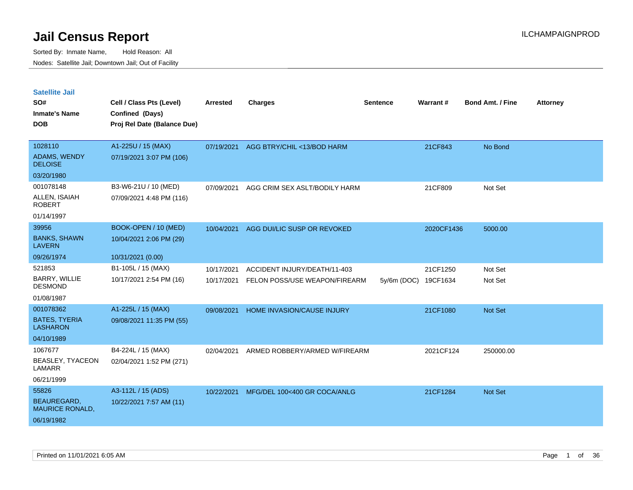| <b>Satellite Jail</b><br>SO#<br>Inmate's Name<br><b>DOB</b>         | Cell / Class Pts (Level)<br>Confined (Days)<br>Proj Rel Date (Balance Due) | <b>Arrested</b>          | <b>Charges</b>                                                | <b>Sentence</b>      | <b>Warrant#</b> | <b>Bond Amt. / Fine</b> | <b>Attorney</b> |
|---------------------------------------------------------------------|----------------------------------------------------------------------------|--------------------------|---------------------------------------------------------------|----------------------|-----------------|-------------------------|-----------------|
| 1028110<br>ADAMS, WENDY<br><b>DELOISE</b>                           | A1-225U / 15 (MAX)<br>07/19/2021 3:07 PM (106)                             | 07/19/2021               | AGG BTRY/CHIL <13/BOD HARM                                    |                      | 21CF843         | No Bond                 |                 |
| 03/20/1980                                                          |                                                                            |                          |                                                               |                      |                 |                         |                 |
| 001078148<br>ALLEN, ISAIAH<br>ROBERT                                | B3-W6-21U / 10 (MED)<br>07/09/2021 4:48 PM (116)                           | 07/09/2021               | AGG CRIM SEX ASLT/BODILY HARM                                 |                      | 21CF809         | Not Set                 |                 |
| 01/14/1997                                                          |                                                                            |                          |                                                               |                      |                 |                         |                 |
| 39956                                                               | BOOK-OPEN / 10 (MED)                                                       | 10/04/2021               | AGG DUI/LIC SUSP OR REVOKED                                   |                      | 2020CF1436      | 5000.00                 |                 |
| <b>BANKS, SHAWN</b><br><b>LAVERN</b>                                | 10/04/2021 2:06 PM (29)                                                    |                          |                                                               |                      |                 |                         |                 |
| 09/26/1974                                                          | 10/31/2021 (0.00)                                                          |                          |                                                               |                      |                 |                         |                 |
| 521853<br>BARRY, WILLIE<br><b>DESMOND</b><br>01/08/1987             | B1-105L / 15 (MAX)<br>10/17/2021 2:54 PM (16)                              | 10/17/2021<br>10/17/2021 | ACCIDENT INJURY/DEATH/11-403<br>FELON POSS/USE WEAPON/FIREARM | 5y/6m (DOC) 19CF1634 | 21CF1250        | Not Set<br>Not Set      |                 |
| 001078362<br><b>BATES, TYERIA</b><br>LASHARON<br>04/10/1989         | A1-225L / 15 (MAX)<br>09/08/2021 11:35 PM (55)                             | 09/08/2021               | HOME INVASION/CAUSE INJURY                                    |                      | 21CF1080        | <b>Not Set</b>          |                 |
| 1067677<br>BEASLEY, TYACEON<br>LAMARR<br>06/21/1999                 | B4-224L / 15 (MAX)<br>02/04/2021 1:52 PM (271)                             | 02/04/2021               | ARMED ROBBERY/ARMED W/FIREARM                                 |                      | 2021CF124       | 250000.00               |                 |
| 55826<br><b>BEAUREGARD,</b><br><b>MAURICE RONALD,</b><br>06/19/1982 | A3-112L / 15 (ADS)<br>10/22/2021 7:57 AM (11)                              | 10/22/2021               | MFG/DEL 100<400 GR COCA/ANLG                                  |                      | 21CF1284        | <b>Not Set</b>          |                 |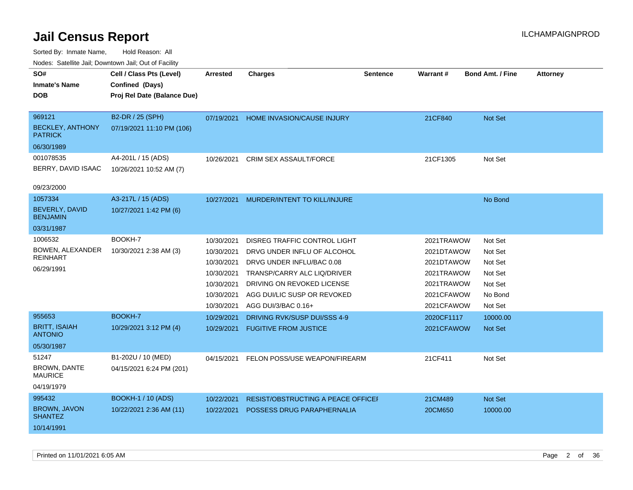| roaco. Odichile Jan, Downtown Jan, Out of Facility |                             |                 |                                           |                 |            |                         |                 |
|----------------------------------------------------|-----------------------------|-----------------|-------------------------------------------|-----------------|------------|-------------------------|-----------------|
| SO#                                                | Cell / Class Pts (Level)    | <b>Arrested</b> | <b>Charges</b>                            | <b>Sentence</b> | Warrant#   | <b>Bond Amt. / Fine</b> | <b>Attorney</b> |
| <b>Inmate's Name</b>                               | Confined (Days)             |                 |                                           |                 |            |                         |                 |
| <b>DOB</b>                                         | Proj Rel Date (Balance Due) |                 |                                           |                 |            |                         |                 |
|                                                    |                             |                 |                                           |                 |            |                         |                 |
| 969121                                             | B2-DR / 25 (SPH)            | 07/19/2021      | HOME INVASION/CAUSE INJURY                |                 | 21CF840    | <b>Not Set</b>          |                 |
| <b>BECKLEY, ANTHONY</b><br><b>PATRICK</b>          | 07/19/2021 11:10 PM (106)   |                 |                                           |                 |            |                         |                 |
| 06/30/1989                                         |                             |                 |                                           |                 |            |                         |                 |
| 001078535                                          | A4-201L / 15 (ADS)          | 10/26/2021      | <b>CRIM SEX ASSAULT/FORCE</b>             |                 | 21CF1305   | Not Set                 |                 |
| BERRY, DAVID ISAAC                                 | 10/26/2021 10:52 AM (7)     |                 |                                           |                 |            |                         |                 |
|                                                    |                             |                 |                                           |                 |            |                         |                 |
| 09/23/2000                                         |                             |                 |                                           |                 |            |                         |                 |
| 1057334                                            | A3-217L / 15 (ADS)          | 10/27/2021      | MURDER/INTENT TO KILL/INJURE              |                 |            | No Bond                 |                 |
| <b>BEVERLY, DAVID</b><br><b>BENJAMIN</b>           | 10/27/2021 1:42 PM (6)      |                 |                                           |                 |            |                         |                 |
| 03/31/1987                                         |                             |                 |                                           |                 |            |                         |                 |
| 1006532                                            | BOOKH-7                     | 10/30/2021      | <b>DISREG TRAFFIC CONTROL LIGHT</b>       |                 | 2021TRAWOW | Not Set                 |                 |
| BOWEN, ALEXANDER                                   | 10/30/2021 2:38 AM (3)      | 10/30/2021      | DRVG UNDER INFLU OF ALCOHOL               |                 | 2021DTAWOW | Not Set                 |                 |
| <b>REINHART</b>                                    |                             | 10/30/2021      | DRVG UNDER INFLU/BAC 0.08                 |                 | 2021DTAWOW | Not Set                 |                 |
| 06/29/1991                                         |                             | 10/30/2021      | TRANSP/CARRY ALC LIQ/DRIVER               |                 | 2021TRAWOW | Not Set                 |                 |
|                                                    |                             | 10/30/2021      | DRIVING ON REVOKED LICENSE                |                 | 2021TRAWOW | Not Set                 |                 |
|                                                    |                             | 10/30/2021      | AGG DUI/LIC SUSP OR REVOKED               |                 | 2021CFAWOW | No Bond                 |                 |
|                                                    |                             | 10/30/2021      | AGG DUI/3/BAC 0.16+                       |                 | 2021CFAWOW | Not Set                 |                 |
| 955653                                             | BOOKH-7                     | 10/29/2021      | DRIVING RVK/SUSP DUI/SSS 4-9              |                 | 2020CF1117 | 10000.00                |                 |
| <b>BRITT, ISAIAH</b>                               | 10/29/2021 3:12 PM (4)      | 10/29/2021      | <b>FUGITIVE FROM JUSTICE</b>              |                 | 2021CFAWOW | <b>Not Set</b>          |                 |
| <b>ANTONIO</b>                                     |                             |                 |                                           |                 |            |                         |                 |
| 05/30/1987                                         |                             |                 |                                           |                 |            |                         |                 |
| 51247                                              | B1-202U / 10 (MED)          | 04/15/2021      | FELON POSS/USE WEAPON/FIREARM             |                 | 21CF411    | Not Set                 |                 |
| <b>BROWN, DANTE</b><br><b>MAURICE</b>              | 04/15/2021 6:24 PM (201)    |                 |                                           |                 |            |                         |                 |
| 04/19/1979                                         |                             |                 |                                           |                 |            |                         |                 |
| 995432                                             | <b>BOOKH-1 / 10 (ADS)</b>   | 10/22/2021      | <b>RESIST/OBSTRUCTING A PEACE OFFICEF</b> |                 | 21CM489    | <b>Not Set</b>          |                 |
| <b>BROWN, JAVON</b><br><b>SHANTEZ</b>              | 10/22/2021 2:36 AM (11)     | 10/22/2021      | POSSESS DRUG PARAPHERNALIA                |                 | 20CM650    | 10000.00                |                 |
| 10/14/1991                                         |                             |                 |                                           |                 |            |                         |                 |
|                                                    |                             |                 |                                           |                 |            |                         |                 |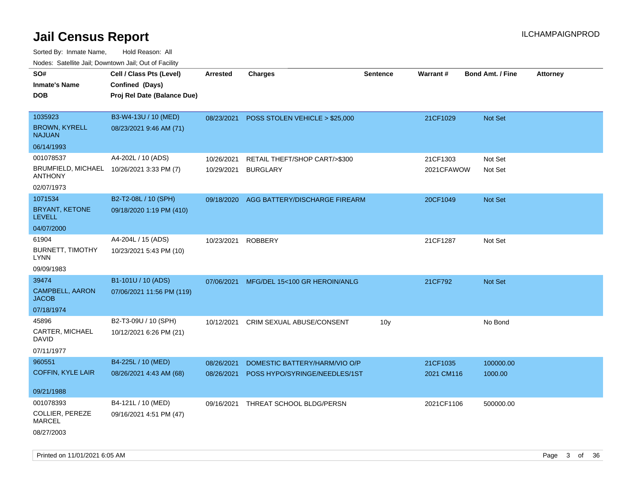| rougs. Calcing Jan, Downtown Jan, Out of Facility           |                             |                 |                                           |                 |            |                         |                 |
|-------------------------------------------------------------|-----------------------------|-----------------|-------------------------------------------|-----------------|------------|-------------------------|-----------------|
| SO#                                                         | Cell / Class Pts (Level)    | <b>Arrested</b> | <b>Charges</b>                            | <b>Sentence</b> | Warrant#   | <b>Bond Amt. / Fine</b> | <b>Attorney</b> |
| <b>Inmate's Name</b>                                        | Confined (Days)             |                 |                                           |                 |            |                         |                 |
| <b>DOB</b>                                                  | Proj Rel Date (Balance Due) |                 |                                           |                 |            |                         |                 |
|                                                             |                             |                 |                                           |                 |            |                         |                 |
| 1035923                                                     | B3-W4-13U / 10 (MED)        |                 | 08/23/2021 POSS STOLEN VEHICLE > \$25,000 |                 | 21CF1029   | Not Set                 |                 |
| <b>BROWN, KYRELL</b><br><b>NAJUAN</b>                       | 08/23/2021 9:46 AM (71)     |                 |                                           |                 |            |                         |                 |
| 06/14/1993                                                  |                             |                 |                                           |                 |            |                         |                 |
| 001078537                                                   | A4-202L / 10 (ADS)          | 10/26/2021      | RETAIL THEFT/SHOP CART/>\$300             |                 | 21CF1303   | Not Set                 |                 |
| BRUMFIELD, MICHAEL 10/26/2021 3:33 PM (7)<br><b>ANTHONY</b> |                             | 10/29/2021      | <b>BURGLARY</b>                           |                 | 2021CFAWOW | Not Set                 |                 |
| 02/07/1973                                                  |                             |                 |                                           |                 |            |                         |                 |
| 1071534                                                     | B2-T2-08L / 10 (SPH)        | 09/18/2020      | AGG BATTERY/DISCHARGE FIREARM             |                 | 20CF1049   | Not Set                 |                 |
| BRYANT, KETONE<br><b>LEVELL</b>                             | 09/18/2020 1:19 PM (410)    |                 |                                           |                 |            |                         |                 |
| 04/07/2000                                                  |                             |                 |                                           |                 |            |                         |                 |
| 61904                                                       | A4-204L / 15 (ADS)          | 10/23/2021      | <b>ROBBERY</b>                            |                 | 21CF1287   | Not Set                 |                 |
| <b>BURNETT, TIMOTHY</b><br>LYNN                             | 10/23/2021 5:43 PM (10)     |                 |                                           |                 |            |                         |                 |
| 09/09/1983                                                  |                             |                 |                                           |                 |            |                         |                 |
| 39474                                                       | B1-101U / 10 (ADS)          | 07/06/2021      | MFG/DEL 15<100 GR HEROIN/ANLG             |                 | 21CF792    | <b>Not Set</b>          |                 |
| CAMPBELL, AARON<br><b>JACOB</b>                             | 07/06/2021 11:56 PM (119)   |                 |                                           |                 |            |                         |                 |
| 07/18/1974                                                  |                             |                 |                                           |                 |            |                         |                 |
| 45896                                                       | B2-T3-09U / 10 (SPH)        | 10/12/2021      | <b>CRIM SEXUAL ABUSE/CONSENT</b>          | 10 <sub>y</sub> |            | No Bond                 |                 |
| CARTER, MICHAEL<br>DAVID                                    | 10/12/2021 6:26 PM (21)     |                 |                                           |                 |            |                         |                 |
| 07/11/1977                                                  |                             |                 |                                           |                 |            |                         |                 |
| 960551                                                      | B4-225L / 10 (MED)          | 08/26/2021      | DOMESTIC BATTERY/HARM/VIO O/P             |                 | 21CF1035   | 100000.00               |                 |
| <b>COFFIN, KYLE LAIR</b>                                    | 08/26/2021 4:43 AM (68)     | 08/26/2021      | POSS HYPO/SYRINGE/NEEDLES/1ST             |                 | 2021 CM116 | 1000.00                 |                 |
| 09/21/1988                                                  |                             |                 |                                           |                 |            |                         |                 |
| 001078393                                                   | B4-121L / 10 (MED)          | 09/16/2021      | THREAT SCHOOL BLDG/PERSN                  |                 | 2021CF1106 | 500000.00               |                 |
| COLLIER, PEREZE<br>MARCEL                                   | 09/16/2021 4:51 PM (47)     |                 |                                           |                 |            |                         |                 |
| 08/27/2003                                                  |                             |                 |                                           |                 |            |                         |                 |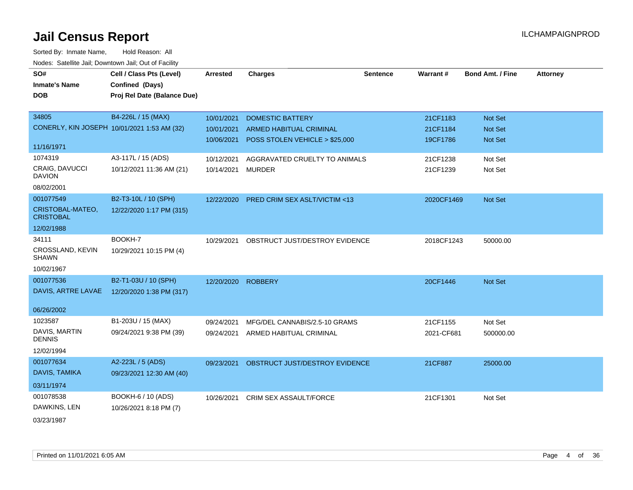| SO#                                  | Cell / Class Pts (Level)                    | <b>Arrested</b>    | <b>Charges</b>                          | <b>Sentence</b> | Warrant#   | <b>Bond Amt. / Fine</b> | <b>Attorney</b> |
|--------------------------------------|---------------------------------------------|--------------------|-----------------------------------------|-----------------|------------|-------------------------|-----------------|
| <b>Inmate's Name</b>                 | Confined (Days)                             |                    |                                         |                 |            |                         |                 |
| <b>DOB</b>                           | Proj Rel Date (Balance Due)                 |                    |                                         |                 |            |                         |                 |
|                                      |                                             |                    |                                         |                 |            |                         |                 |
| 34805                                | B4-226L / 15 (MAX)                          | 10/01/2021         | <b>DOMESTIC BATTERY</b>                 |                 | 21CF1183   | <b>Not Set</b>          |                 |
|                                      | CONERLY, KIN JOSEPH 10/01/2021 1:53 AM (32) | 10/01/2021         | ARMED HABITUAL CRIMINAL                 |                 | 21CF1184   | Not Set                 |                 |
|                                      |                                             | 10/06/2021         | POSS STOLEN VEHICLE > \$25,000          |                 | 19CF1786   | Not Set                 |                 |
| 11/16/1971                           |                                             |                    |                                         |                 |            |                         |                 |
| 1074319                              | A3-117L / 15 (ADS)                          | 10/12/2021         | AGGRAVATED CRUELTY TO ANIMALS           |                 | 21CF1238   | Not Set                 |                 |
| CRAIG, DAVUCCI<br><b>DAVION</b>      | 10/12/2021 11:36 AM (21)                    | 10/14/2021         | MURDER                                  |                 | 21CF1239   | Not Set                 |                 |
| 08/02/2001                           |                                             |                    |                                         |                 |            |                         |                 |
| 001077549                            | B2-T3-10L / 10 (SPH)                        | 12/22/2020         | <b>PRED CRIM SEX ASLT/VICTIM &lt;13</b> |                 | 2020CF1469 | Not Set                 |                 |
| CRISTOBAL-MATEO,<br><b>CRISTOBAL</b> | 12/22/2020 1:17 PM (315)                    |                    |                                         |                 |            |                         |                 |
| 12/02/1988                           |                                             |                    |                                         |                 |            |                         |                 |
| 34111                                | BOOKH-7                                     | 10/29/2021         | OBSTRUCT JUST/DESTROY EVIDENCE          |                 | 2018CF1243 | 50000.00                |                 |
| CROSSLAND, KEVIN<br><b>SHAWN</b>     | 10/29/2021 10:15 PM (4)                     |                    |                                         |                 |            |                         |                 |
| 10/02/1967                           |                                             |                    |                                         |                 |            |                         |                 |
| 001077536                            | B2-T1-03U / 10 (SPH)                        | 12/20/2020 ROBBERY |                                         |                 | 20CF1446   | Not Set                 |                 |
| DAVIS, ARTRE LAVAE                   | 12/20/2020 1:38 PM (317)                    |                    |                                         |                 |            |                         |                 |
|                                      |                                             |                    |                                         |                 |            |                         |                 |
| 06/26/2002                           |                                             |                    |                                         |                 |            |                         |                 |
| 1023587                              | B1-203U / 15 (MAX)                          | 09/24/2021         | MFG/DEL CANNABIS/2.5-10 GRAMS           |                 | 21CF1155   | Not Set                 |                 |
| DAVIS, MARTIN<br><b>DENNIS</b>       | 09/24/2021 9:38 PM (39)                     |                    | 09/24/2021 ARMED HABITUAL CRIMINAL      |                 | 2021-CF681 | 500000.00               |                 |
| 12/02/1994                           |                                             |                    |                                         |                 |            |                         |                 |
| 001077634                            | A2-223L / 5 (ADS)                           | 09/23/2021         | OBSTRUCT JUST/DESTROY EVIDENCE          |                 | 21CF887    | 25000.00                |                 |
| DAVIS, TAMIKA                        | 09/23/2021 12:30 AM (40)                    |                    |                                         |                 |            |                         |                 |
| 03/11/1974                           |                                             |                    |                                         |                 |            |                         |                 |
| 001078538                            | BOOKH-6 / 10 (ADS)                          | 10/26/2021         | CRIM SEX ASSAULT/FORCE                  |                 | 21CF1301   | Not Set                 |                 |
| DAWKINS, LEN                         | 10/26/2021 8:18 PM (7)                      |                    |                                         |                 |            |                         |                 |
| 03/23/1987                           |                                             |                    |                                         |                 |            |                         |                 |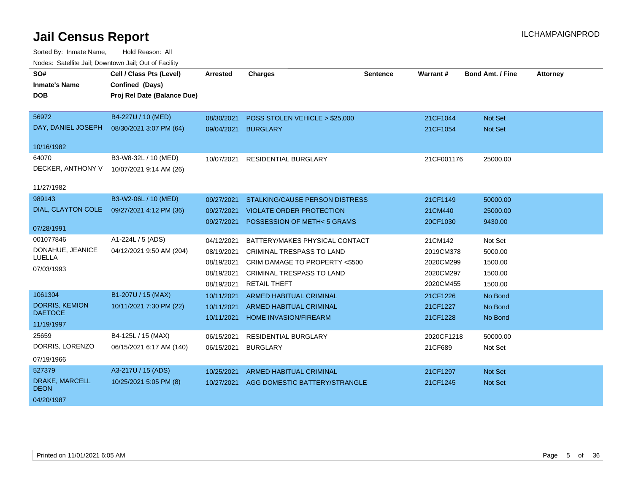| SO#                           | Cell / Class Pts (Level)    | <b>Arrested</b> | <b>Charges</b>                        | <b>Sentence</b> | Warrant#   | <b>Bond Amt. / Fine</b> | <b>Attorney</b> |
|-------------------------------|-----------------------------|-----------------|---------------------------------------|-----------------|------------|-------------------------|-----------------|
| <b>Inmate's Name</b>          | Confined (Days)             |                 |                                       |                 |            |                         |                 |
| <b>DOB</b>                    | Proj Rel Date (Balance Due) |                 |                                       |                 |            |                         |                 |
|                               |                             |                 |                                       |                 |            |                         |                 |
| 56972                         | B4-227U / 10 (MED)          | 08/30/2021      | POSS STOLEN VEHICLE > \$25,000        |                 | 21CF1044   | Not Set                 |                 |
| DAY, DANIEL JOSEPH            | 08/30/2021 3:07 PM (64)     | 09/04/2021      | <b>BURGLARY</b>                       |                 | 21CF1054   | <b>Not Set</b>          |                 |
| 10/16/1982                    |                             |                 |                                       |                 |            |                         |                 |
| 64070                         | B3-W8-32L / 10 (MED)        | 10/07/2021      | <b>RESIDENTIAL BURGLARY</b>           |                 | 21CF001176 | 25000.00                |                 |
| DECKER, ANTHONY V             | 10/07/2021 9:14 AM (26)     |                 |                                       |                 |            |                         |                 |
|                               |                             |                 |                                       |                 |            |                         |                 |
| 11/27/1982                    |                             |                 |                                       |                 |            |                         |                 |
| 989143                        | B3-W2-06L / 10 (MED)        | 09/27/2021      | <b>STALKING/CAUSE PERSON DISTRESS</b> |                 | 21CF1149   | 50000.00                |                 |
| DIAL, CLAYTON COLE            | 09/27/2021 4:12 PM (36)     | 09/27/2021      | <b>VIOLATE ORDER PROTECTION</b>       |                 | 21CM440    | 25000.00                |                 |
|                               |                             | 09/27/2021      | POSSESSION OF METH<5 GRAMS            |                 | 20CF1030   | 9430.00                 |                 |
| 07/28/1991                    |                             |                 |                                       |                 |            |                         |                 |
| 001077846                     | A1-224L / 5 (ADS)           | 04/12/2021      | BATTERY/MAKES PHYSICAL CONTACT        |                 | 21CM142    | Not Set                 |                 |
| DONAHUE, JEANICE              | 04/12/2021 9:50 AM (204)    | 08/19/2021      | <b>CRIMINAL TRESPASS TO LAND</b>      |                 | 2019CM378  | 5000.00                 |                 |
| LUELLA                        |                             | 08/19/2021      | CRIM DAMAGE TO PROPERTY <\$500        |                 | 2020CM299  | 1500.00                 |                 |
| 07/03/1993                    |                             | 08/19/2021      | <b>CRIMINAL TRESPASS TO LAND</b>      |                 | 2020CM297  | 1500.00                 |                 |
|                               |                             | 08/19/2021      | <b>RETAIL THEFT</b>                   |                 | 2020CM455  | 1500.00                 |                 |
| 1061304                       | B1-207U / 15 (MAX)          | 10/11/2021      | <b>ARMED HABITUAL CRIMINAL</b>        |                 | 21CF1226   | No Bond                 |                 |
| <b>DORRIS, KEMION</b>         | 10/11/2021 7:30 PM (22)     | 10/11/2021      | <b>ARMED HABITUAL CRIMINAL</b>        |                 | 21CF1227   | No Bond                 |                 |
| <b>DAETOCE</b>                |                             | 10/11/2021      | <b>HOME INVASION/FIREARM</b>          |                 | 21CF1228   | No Bond                 |                 |
| 11/19/1997                    |                             |                 |                                       |                 |            |                         |                 |
| 25659                         | B4-125L / 15 (MAX)          | 06/15/2021      | <b>RESIDENTIAL BURGLARY</b>           |                 | 2020CF1218 | 50000.00                |                 |
| DORRIS, LORENZO               | 06/15/2021 6:17 AM (140)    | 06/15/2021      | <b>BURGLARY</b>                       |                 | 21CF689    | Not Set                 |                 |
| 07/19/1966                    |                             |                 |                                       |                 |            |                         |                 |
| 527379                        | A3-217U / 15 (ADS)          | 10/25/2021      | <b>ARMED HABITUAL CRIMINAL</b>        |                 | 21CF1297   | <b>Not Set</b>          |                 |
| DRAKE, MARCELL<br><b>DEON</b> | 10/25/2021 5:05 PM (8)      | 10/27/2021      | AGG DOMESTIC BATTERY/STRANGLE         |                 | 21CF1245   | Not Set                 |                 |
| 04/20/1987                    |                             |                 |                                       |                 |            |                         |                 |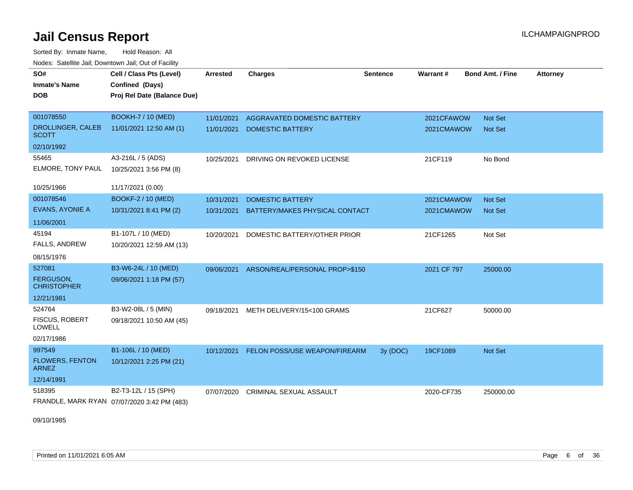Sorted By: Inmate Name, Hold Reason: All Nodes: Satellite Jail; Downtown Jail; Out of Facility

| SO#<br><b>Inmate's Name</b><br><b>DOB</b> | Cell / Class Pts (Level)<br>Confined (Days)<br>Proj Rel Date (Balance Due) | <b>Arrested</b> | <b>Charges</b>                 | <b>Sentence</b> | Warrant#    | Bond Amt. / Fine | <b>Attorney</b> |
|-------------------------------------------|----------------------------------------------------------------------------|-----------------|--------------------------------|-----------------|-------------|------------------|-----------------|
| 001078550                                 | <b>BOOKH-7 / 10 (MED)</b>                                                  | 11/01/2021      | AGGRAVATED DOMESTIC BATTERY    |                 | 2021CFAWOW  | Not Set          |                 |
| DROLLINGER, CALEB<br><b>SCOTT</b>         | 11/01/2021 12:50 AM (1)                                                    | 11/01/2021      | <b>DOMESTIC BATTERY</b>        |                 | 2021CMAWOW  | <b>Not Set</b>   |                 |
| 02/10/1992                                |                                                                            |                 |                                |                 |             |                  |                 |
| 55465                                     | A3-216L / 5 (ADS)                                                          | 10/25/2021      | DRIVING ON REVOKED LICENSE     |                 | 21CF119     | No Bond          |                 |
| ELMORE, TONY PAUL                         | 10/25/2021 3:56 PM (8)                                                     |                 |                                |                 |             |                  |                 |
| 10/25/1966                                | 11/17/2021 (0.00)                                                          |                 |                                |                 |             |                  |                 |
| 001078546                                 | BOOKF-2 / 10 (MED)                                                         | 10/31/2021      | <b>DOMESTIC BATTERY</b>        |                 | 2021CMAWOW  | Not Set          |                 |
| <b>EVANS, AYONIE A</b>                    | 10/31/2021 8:41 PM (2)                                                     | 10/31/2021      | BATTERY/MAKES PHYSICAL CONTACT |                 | 2021CMAWOW  | <b>Not Set</b>   |                 |
| 11/06/2001                                |                                                                            |                 |                                |                 |             |                  |                 |
| 45194                                     | B1-107L / 10 (MED)                                                         | 10/20/2021      | DOMESTIC BATTERY/OTHER PRIOR   |                 | 21CF1265    | Not Set          |                 |
| FALLS, ANDREW                             | 10/20/2021 12:59 AM (13)                                                   |                 |                                |                 |             |                  |                 |
| 08/15/1976                                |                                                                            |                 |                                |                 |             |                  |                 |
| 527081                                    | B3-W6-24L / 10 (MED)                                                       | 09/06/2021      | ARSON/REAL/PERSONAL PROP>\$150 |                 | 2021 CF 797 | 25000.00         |                 |
| <b>FERGUSON,</b><br><b>CHRISTOPHER</b>    | 09/06/2021 1:18 PM (57)                                                    |                 |                                |                 |             |                  |                 |
| 12/21/1981                                |                                                                            |                 |                                |                 |             |                  |                 |
| 524764                                    | B3-W2-08L / 5 (MIN)                                                        | 09/18/2021      | METH DELIVERY/15<100 GRAMS     |                 | 21CF627     | 50000.00         |                 |
| <b>FISCUS, ROBERT</b><br><b>LOWELL</b>    | 09/18/2021 10:50 AM (45)                                                   |                 |                                |                 |             |                  |                 |
| 02/17/1986                                |                                                                            |                 |                                |                 |             |                  |                 |
| 997549                                    | B1-106L / 10 (MED)                                                         | 10/12/2021      | FELON POSS/USE WEAPON/FIREARM  | 3y (DOC)        | 19CF1089    | Not Set          |                 |
| <b>FLOWERS, FENTON</b><br><b>ARNEZ</b>    | 10/12/2021 2:25 PM (21)                                                    |                 |                                |                 |             |                  |                 |
| 12/14/1991                                |                                                                            |                 |                                |                 |             |                  |                 |
| 518395                                    | B2-T3-12L / 15 (SPH)                                                       | 07/07/2020      | <b>CRIMINAL SEXUAL ASSAULT</b> |                 | 2020-CF735  | 250000.00        |                 |
|                                           | FRANDLE, MARK RYAN 07/07/2020 3:42 PM (483)                                |                 |                                |                 |             |                  |                 |

09/10/1985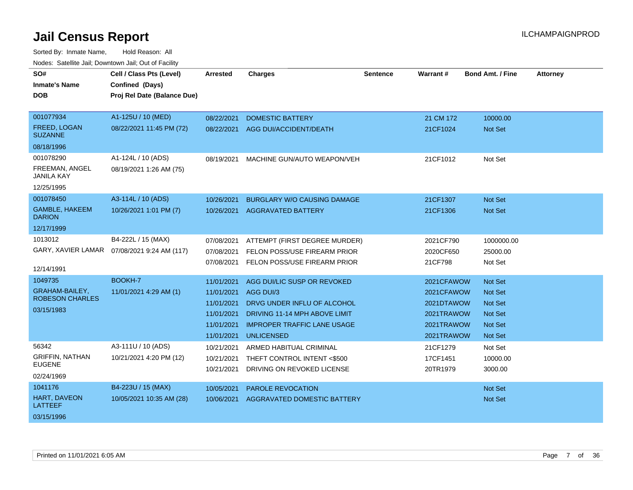| SO#                                   | Cell / Class Pts (Level)                     | Arrested   | <b>Charges</b>                     | <b>Sentence</b> | Warrant#   | <b>Bond Amt. / Fine</b> | <b>Attorney</b> |
|---------------------------------------|----------------------------------------------|------------|------------------------------------|-----------------|------------|-------------------------|-----------------|
| <b>Inmate's Name</b>                  | Confined (Days)                              |            |                                    |                 |            |                         |                 |
| <b>DOB</b>                            | Proj Rel Date (Balance Due)                  |            |                                    |                 |            |                         |                 |
|                                       |                                              |            |                                    |                 |            |                         |                 |
| 001077934                             | A1-125U / 10 (MED)                           | 08/22/2021 | <b>DOMESTIC BATTERY</b>            |                 | 21 CM 172  | 10000.00                |                 |
| <b>FREED, LOGAN</b><br><b>SUZANNE</b> | 08/22/2021 11:45 PM (72)                     | 08/22/2021 | AGG DUI/ACCIDENT/DEATH             |                 | 21CF1024   | Not Set                 |                 |
| 08/18/1996                            |                                              |            |                                    |                 |            |                         |                 |
| 001078290                             | A1-124L / 10 (ADS)                           | 08/19/2021 | MACHINE GUN/AUTO WEAPON/VEH        |                 | 21CF1012   | Not Set                 |                 |
| FREEMAN, ANGEL<br><b>JANILA KAY</b>   | 08/19/2021 1:26 AM (75)                      |            |                                    |                 |            |                         |                 |
| 12/25/1995                            |                                              |            |                                    |                 |            |                         |                 |
| 001078450                             | A3-114L / 10 (ADS)                           | 10/26/2021 | <b>BURGLARY W/O CAUSING DAMAGE</b> |                 | 21CF1307   | Not Set                 |                 |
| GAMBLE, HAKEEM<br><b>DARION</b>       | 10/26/2021 1:01 PM (7)                       |            | 10/26/2021 AGGRAVATED BATTERY      |                 | 21CF1306   | Not Set                 |                 |
| 12/17/1999                            |                                              |            |                                    |                 |            |                         |                 |
| 1013012                               | B4-222L / 15 (MAX)                           | 07/08/2021 | ATTEMPT (FIRST DEGREE MURDER)      |                 | 2021CF790  | 1000000.00              |                 |
|                                       | GARY, XAVIER LAMAR  07/08/2021 9:24 AM (117) | 07/08/2021 | FELON POSS/USE FIREARM PRIOR       |                 | 2020CF650  | 25000.00                |                 |
|                                       |                                              | 07/08/2021 | FELON POSS/USE FIREARM PRIOR       |                 | 21CF798    | Not Set                 |                 |
| 12/14/1991                            |                                              |            |                                    |                 |            |                         |                 |
| 1049735                               | BOOKH-7                                      | 11/01/2021 | AGG DUI/LIC SUSP OR REVOKED        |                 | 2021CFAWOW | Not Set                 |                 |
| GRAHAM-BAILEY.                        | 11/01/2021 4:29 AM (1)                       | 11/01/2021 | AGG DUI/3                          |                 | 2021CFAWOW | Not Set                 |                 |
| <b>ROBESON CHARLES</b>                |                                              | 11/01/2021 | DRVG UNDER INFLU OF ALCOHOL        |                 | 2021DTAWOW | <b>Not Set</b>          |                 |
| 03/15/1983                            |                                              | 11/01/2021 | DRIVING 11-14 MPH ABOVE LIMIT      |                 | 2021TRAWOW | <b>Not Set</b>          |                 |
|                                       |                                              | 11/01/2021 | <b>IMPROPER TRAFFIC LANE USAGE</b> |                 | 2021TRAWOW | Not Set                 |                 |
|                                       |                                              | 11/01/2021 | <b>UNLICENSED</b>                  |                 | 2021TRAWOW | Not Set                 |                 |
| 56342                                 | A3-111U / 10 (ADS)                           | 10/21/2021 | ARMED HABITUAL CRIMINAL            |                 | 21CF1279   | Not Set                 |                 |
| <b>GRIFFIN, NATHAN</b>                | 10/21/2021 4:20 PM (12)                      | 10/21/2021 | THEFT CONTROL INTENT <\$500        |                 | 17CF1451   | 10000.00                |                 |
| <b>EUGENE</b>                         |                                              | 10/21/2021 | DRIVING ON REVOKED LICENSE         |                 | 20TR1979   | 3000.00                 |                 |
| 02/24/1969                            |                                              |            |                                    |                 |            |                         |                 |
| 1041176                               | B4-223U / 15 (MAX)                           | 10/05/2021 | PAROLE REVOCATION                  |                 |            | Not Set                 |                 |
| HART, DAVEON<br><b>LATTEEF</b>        | 10/05/2021 10:35 AM (28)                     | 10/06/2021 | AGGRAVATED DOMESTIC BATTERY        |                 |            | Not Set                 |                 |
| 03/15/1996                            |                                              |            |                                    |                 |            |                         |                 |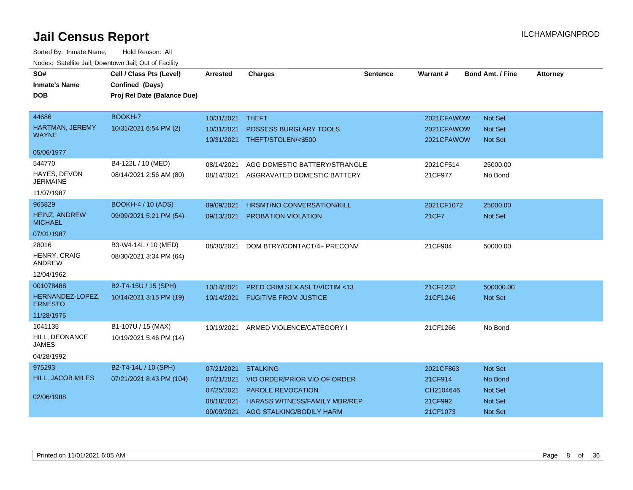| SO#<br><b>Inmate's Name</b><br><b>DOB</b>               | Cell / Class Pts (Level)<br>Confined (Days)<br>Proj Rel Date (Balance Due) | Arrested                               | <b>Charges</b>                                                   | <b>Sentence</b> | <b>Warrant#</b>                        | <b>Bond Amt. / Fine</b>                            | <b>Attorney</b> |
|---------------------------------------------------------|----------------------------------------------------------------------------|----------------------------------------|------------------------------------------------------------------|-----------------|----------------------------------------|----------------------------------------------------|-----------------|
| 44686<br>HARTMAN, JEREMY<br><b>WAYNE</b>                | BOOKH-7<br>10/31/2021 6:54 PM (2)                                          | 10/31/2021<br>10/31/2021<br>10/31/2021 | <b>THEFT</b><br>POSSESS BURGLARY TOOLS<br>THEFT/STOLEN/<\$500    |                 | 2021CFAWOW<br>2021CFAWOW<br>2021CFAWOW | <b>Not Set</b><br><b>Not Set</b><br><b>Not Set</b> |                 |
| 05/06/1977                                              |                                                                            |                                        |                                                                  |                 |                                        |                                                    |                 |
| 544770<br>HAYES, DEVON<br><b>JERMAINE</b><br>11/07/1987 | B4-122L / 10 (MED)<br>08/14/2021 2:56 AM (80)                              | 08/14/2021<br>08/14/2021               | AGG DOMESTIC BATTERY/STRANGLE<br>AGGRAVATED DOMESTIC BATTERY     |                 | 2021CF514<br>21CF977                   | 25000.00<br>No Bond                                |                 |
| 965829                                                  | BOOKH-4 / 10 (ADS)                                                         | 09/09/2021                             | HRSMT/NO CONVERSATION/KILL                                       |                 | 2021CF1072                             | 25000.00                                           |                 |
| <b>HEINZ, ANDREW</b><br><b>MICHAEL</b>                  | 09/09/2021 5:21 PM (54)                                                    | 09/13/2021                             | <b>PROBATION VIOLATION</b>                                       |                 | 21CF7                                  | <b>Not Set</b>                                     |                 |
| 07/01/1987                                              |                                                                            |                                        |                                                                  |                 |                                        |                                                    |                 |
| 28016<br>HENRY, CRAIG<br><b>ANDREW</b>                  | B3-W4-14L / 10 (MED)<br>08/30/2021 3:34 PM (64)                            | 08/30/2021                             | DOM BTRY/CONTACT/4+ PRECONV                                      |                 | 21CF904                                | 50000.00                                           |                 |
| 12/04/1962                                              |                                                                            |                                        |                                                                  |                 |                                        |                                                    |                 |
| 001078488<br>HERNANDEZ-LOPEZ,<br><b>ERNESTO</b>         | B2-T4-15U / 15 (SPH)<br>10/14/2021 3:15 PM (19)                            | 10/14/2021<br>10/14/2021               | PRED CRIM SEX ASLT/VICTIM <13<br><b>FUGITIVE FROM JUSTICE</b>    |                 | 21CF1232<br>21CF1246                   | 500000.00<br>Not Set                               |                 |
| 11/28/1975                                              |                                                                            |                                        |                                                                  |                 |                                        |                                                    |                 |
| 1041135<br>HILL, DEONANCE<br><b>JAMES</b><br>04/28/1992 | B1-107U / 15 (MAX)<br>10/19/2021 5:46 PM (14)                              | 10/19/2021                             | ARMED VIOLENCE/CATEGORY I                                        |                 | 21CF1266                               | No Bond                                            |                 |
| 975293                                                  | B2-T4-14L / 10 (SPH)                                                       | 07/21/2021                             | <b>STALKING</b>                                                  |                 | 2021CF863                              | <b>Not Set</b>                                     |                 |
| <b>HILL, JACOB MILES</b>                                | 07/21/2021 8:43 PM (104)                                                   | 07/21/2021<br>07/25/2021               | VIO ORDER/PRIOR VIO OF ORDER<br><b>PAROLE REVOCATION</b>         |                 | 21CF914<br>CH2104646                   | No Bond<br><b>Not Set</b>                          |                 |
| 02/06/1988                                              |                                                                            | 08/18/2021<br>09/09/2021               | <b>HARASS WITNESS/FAMILY MBR/REP</b><br>AGG STALKING/BODILY HARM |                 | 21CF992<br>21CF1073                    | <b>Not Set</b><br><b>Not Set</b>                   |                 |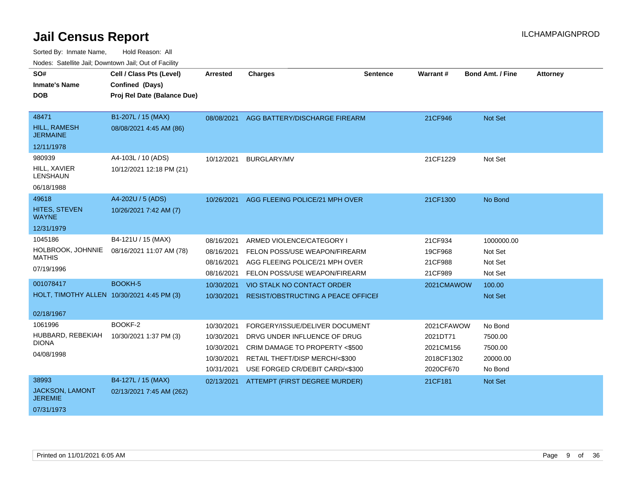| SO#                                        | Cell / Class Pts (Level)    | Arrested   | <b>Charges</b>                            | Sentence | <b>Warrant#</b> | <b>Bond Amt. / Fine</b> | <b>Attorney</b> |
|--------------------------------------------|-----------------------------|------------|-------------------------------------------|----------|-----------------|-------------------------|-----------------|
| <b>Inmate's Name</b>                       | Confined (Days)             |            |                                           |          |                 |                         |                 |
| DOB                                        | Proj Rel Date (Balance Due) |            |                                           |          |                 |                         |                 |
|                                            |                             |            |                                           |          |                 |                         |                 |
| 48471                                      | B1-207L / 15 (MAX)          | 08/08/2021 | AGG BATTERY/DISCHARGE FIREARM             |          | 21CF946         | <b>Not Set</b>          |                 |
| <b>HILL, RAMESH</b><br><b>JERMAINE</b>     | 08/08/2021 4:45 AM (86)     |            |                                           |          |                 |                         |                 |
| 12/11/1978                                 |                             |            |                                           |          |                 |                         |                 |
| 980939                                     | A4-103L / 10 (ADS)          | 10/12/2021 | <b>BURGLARY/MV</b>                        |          | 21CF1229        | Not Set                 |                 |
| HILL, XAVIER<br>LENSHAUN                   | 10/12/2021 12:18 PM (21)    |            |                                           |          |                 |                         |                 |
| 06/18/1988                                 |                             |            |                                           |          |                 |                         |                 |
| 49618                                      | A4-202U / 5 (ADS)           | 10/26/2021 | AGG FLEEING POLICE/21 MPH OVER            |          | 21CF1300        | No Bond                 |                 |
| HITES, STEVEN<br><b>WAYNE</b>              | 10/26/2021 7:42 AM (7)      |            |                                           |          |                 |                         |                 |
| 12/31/1979                                 |                             |            |                                           |          |                 |                         |                 |
| 1045186                                    | B4-121U / 15 (MAX)          | 08/16/2021 | ARMED VIOLENCE/CATEGORY I                 |          | 21CF934         | 1000000.00              |                 |
| HOLBROOK, JOHNNIE                          | 08/16/2021 11:07 AM (78)    | 08/16/2021 | FELON POSS/USE WEAPON/FIREARM             |          | 19CF968         | Not Set                 |                 |
| <b>MATHIS</b>                              |                             | 08/16/2021 | AGG FLEEING POLICE/21 MPH OVER            |          | 21CF988         | Not Set                 |                 |
| 07/19/1996                                 |                             | 08/16/2021 | FELON POSS/USE WEAPON/FIREARM             |          | 21CF989         | Not Set                 |                 |
| 001078417                                  | <b>BOOKH-5</b>              | 10/30/2021 | VIO STALK NO CONTACT ORDER                |          | 2021CMAWOW      | 100.00                  |                 |
| HOLT, TIMOTHY ALLEN 10/30/2021 4:45 PM (3) |                             | 10/30/2021 | <b>RESIST/OBSTRUCTING A PEACE OFFICEF</b> |          |                 | <b>Not Set</b>          |                 |
|                                            |                             |            |                                           |          |                 |                         |                 |
| 02/18/1967                                 |                             |            |                                           |          |                 |                         |                 |
| 1061996                                    | BOOKF-2                     | 10/30/2021 | FORGERY/ISSUE/DELIVER DOCUMENT            |          | 2021CFAWOW      | No Bond                 |                 |
| HUBBARD, REBEKIAH<br><b>DIONA</b>          | 10/30/2021 1:37 PM (3)      | 10/30/2021 | DRVG UNDER INFLUENCE OF DRUG              |          | 2021DT71        | 7500.00                 |                 |
|                                            |                             | 10/30/2021 | CRIM DAMAGE TO PROPERTY <\$500            |          | 2021CM156       | 7500.00                 |                 |
| 04/08/1998                                 |                             | 10/30/2021 | RETAIL THEFT/DISP MERCH/<\$300            |          | 2018CF1302      | 20000.00                |                 |
|                                            |                             | 10/31/2021 | USE FORGED CR/DEBIT CARD/<\$300           |          | 2020CF670       | No Bond                 |                 |
| 38993                                      | B4-127L / 15 (MAX)          | 02/13/2021 | ATTEMPT (FIRST DEGREE MURDER)             |          | 21CF181         | Not Set                 |                 |
| <b>JACKSON, LAMONT</b><br><b>JEREMIE</b>   | 02/13/2021 7:45 AM (262)    |            |                                           |          |                 |                         |                 |
| 07/31/1973                                 |                             |            |                                           |          |                 |                         |                 |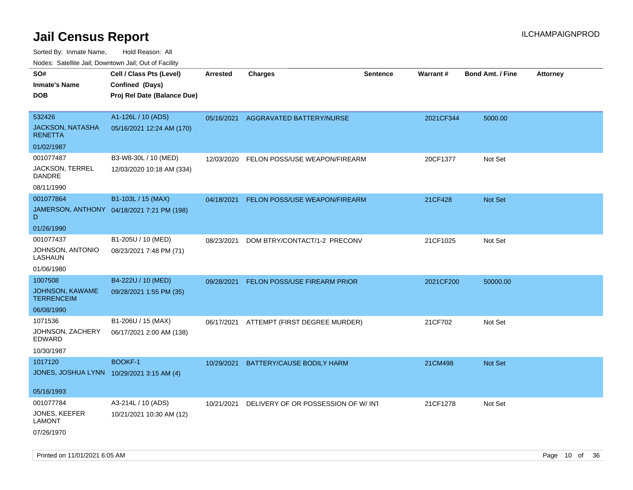Sorted By: Inmate Name, Hold Reason: All

Nodes: Satellite Jail; Downtown Jail; Out of Facility

| roaco. Catolino dall, Downtown dall, Out of Fability |                                            |                 |                                          |                 |           |                         |                 |
|------------------------------------------------------|--------------------------------------------|-----------------|------------------------------------------|-----------------|-----------|-------------------------|-----------------|
| SO#                                                  | Cell / Class Pts (Level)                   | <b>Arrested</b> | <b>Charges</b>                           | <b>Sentence</b> | Warrant#  | <b>Bond Amt. / Fine</b> | <b>Attorney</b> |
| <b>Inmate's Name</b>                                 | Confined (Days)                            |                 |                                          |                 |           |                         |                 |
| <b>DOB</b>                                           | Proj Rel Date (Balance Due)                |                 |                                          |                 |           |                         |                 |
|                                                      |                                            |                 |                                          |                 |           |                         |                 |
| 532426                                               | A1-126L / 10 (ADS)                         |                 | 05/16/2021 AGGRAVATED BATTERY/NURSE      |                 | 2021CF344 | 5000.00                 |                 |
| <b>JACKSON, NATASHA</b><br><b>RENETTA</b>            | 05/16/2021 12:24 AM (170)                  |                 |                                          |                 |           |                         |                 |
| 01/02/1987                                           |                                            |                 |                                          |                 |           |                         |                 |
| 001077487                                            | B3-W8-30L / 10 (MED)                       | 12/03/2020      | FELON POSS/USE WEAPON/FIREARM            |                 | 20CF1377  | Not Set                 |                 |
| JACKSON, TERREL<br>DANDRE                            | 12/03/2020 10:18 AM (334)                  |                 |                                          |                 |           |                         |                 |
| 08/11/1990                                           |                                            |                 |                                          |                 |           |                         |                 |
| 001077864                                            | B1-103L / 15 (MAX)                         | 04/18/2021      | FELON POSS/USE WEAPON/FIREARM            |                 | 21CF428   | Not Set                 |                 |
| D                                                    | JAMERSON, ANTHONY 04/18/2021 7:21 PM (198) |                 |                                          |                 |           |                         |                 |
| 01/26/1990                                           |                                            |                 |                                          |                 |           |                         |                 |
| 001077437                                            | B1-205U / 10 (MED)                         | 08/23/2021      | DOM BTRY/CONTACT/1-2 PRECONV             |                 | 21CF1025  | Not Set                 |                 |
| JOHNSON, ANTONIO<br>LASHAUN                          | 08/23/2021 7:48 PM (71)                    |                 |                                          |                 |           |                         |                 |
| 01/06/1980                                           |                                            |                 |                                          |                 |           |                         |                 |
| 1007508                                              | B4-222U / 10 (MED)                         | 09/28/2021      | FELON POSS/USE FIREARM PRIOR             |                 | 2021CF200 | 50000.00                |                 |
| JOHNSON, KAWAME<br><b>TERRENCEIM</b>                 | 09/28/2021 1:55 PM (35)                    |                 |                                          |                 |           |                         |                 |
| 06/08/1990                                           |                                            |                 |                                          |                 |           |                         |                 |
| 1071536                                              | B1-206U / 15 (MAX)                         |                 | 06/17/2021 ATTEMPT (FIRST DEGREE MURDER) |                 | 21CF702   | Not Set                 |                 |
| JOHNSON, ZACHERY<br>EDWARD                           | 06/17/2021 2:00 AM (138)                   |                 |                                          |                 |           |                         |                 |
| 10/30/1987                                           |                                            |                 |                                          |                 |           |                         |                 |
| 1017120                                              | <b>BOOKF-1</b>                             | 10/29/2021      | BATTERY/CAUSE BODILY HARM                |                 | 21CM498   | Not Set                 |                 |
| JONES, JOSHUA LYNN 10/29/2021 3:15 AM (4)            |                                            |                 |                                          |                 |           |                         |                 |
|                                                      |                                            |                 |                                          |                 |           |                         |                 |
| 05/16/1993                                           |                                            |                 |                                          |                 |           |                         |                 |
| 001077784                                            | A3-214L / 10 (ADS)                         | 10/21/2021      | DELIVERY OF OR POSSESSION OF W/INT       |                 | 21CF1278  | Not Set                 |                 |
| JONES, KEEFER<br><b>LAMONT</b>                       | 10/21/2021 10:30 AM (12)                   |                 |                                          |                 |           |                         |                 |
| 07/26/1970                                           |                                            |                 |                                          |                 |           |                         |                 |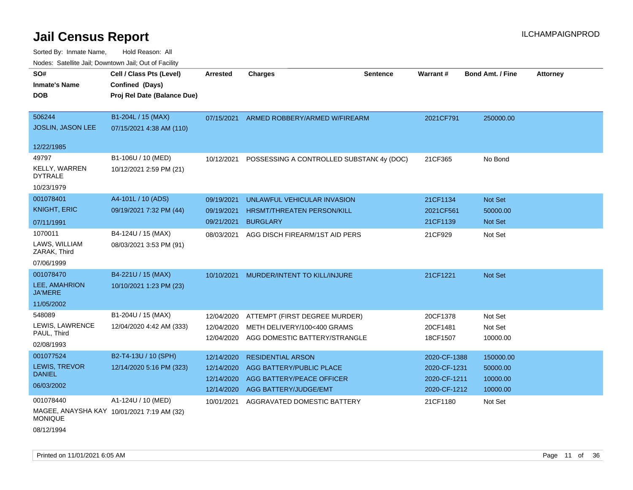| SO#                            | Cell / Class Pts (Level)                   | <b>Arrested</b> | <b>Charges</b>                           | <b>Sentence</b> | Warrant#     | <b>Bond Amt. / Fine</b> | <b>Attorney</b> |
|--------------------------------|--------------------------------------------|-----------------|------------------------------------------|-----------------|--------------|-------------------------|-----------------|
| <b>Inmate's Name</b>           | Confined (Days)                            |                 |                                          |                 |              |                         |                 |
| <b>DOB</b>                     | Proj Rel Date (Balance Due)                |                 |                                          |                 |              |                         |                 |
|                                |                                            |                 |                                          |                 |              |                         |                 |
| 506244                         | B1-204L / 15 (MAX)                         |                 | 07/15/2021 ARMED ROBBERY/ARMED W/FIREARM |                 | 2021CF791    | 250000.00               |                 |
| JOSLIN, JASON LEE              | 07/15/2021 4:38 AM (110)                   |                 |                                          |                 |              |                         |                 |
|                                |                                            |                 |                                          |                 |              |                         |                 |
| 12/22/1985                     |                                            |                 |                                          |                 |              |                         |                 |
| 49797                          | B1-106U / 10 (MED)                         | 10/12/2021      | POSSESSING A CONTROLLED SUBSTAN(4y (DOC) |                 | 21CF365      | No Bond                 |                 |
| <b>KELLY, WARREN</b>           | 10/12/2021 2:59 PM (21)                    |                 |                                          |                 |              |                         |                 |
| <b>DYTRALE</b>                 |                                            |                 |                                          |                 |              |                         |                 |
| 10/23/1979                     |                                            |                 |                                          |                 |              |                         |                 |
| 001078401                      | A4-101L / 10 (ADS)                         | 09/19/2021      | UNLAWFUL VEHICULAR INVASION              |                 | 21CF1134     | Not Set                 |                 |
| <b>KNIGHT, ERIC</b>            | 09/19/2021 7:32 PM (44)                    | 09/19/2021      | HRSMT/THREATEN PERSON/KILL               |                 | 2021CF561    | 50000.00                |                 |
| 07/11/1991                     |                                            | 09/21/2021      | <b>BURGLARY</b>                          |                 | 21CF1139     | Not Set                 |                 |
| 1070011                        | B4-124U / 15 (MAX)                         | 08/03/2021      | AGG DISCH FIREARM/1ST AID PERS           |                 | 21CF929      | Not Set                 |                 |
| LAWS, WILLIAM                  | 08/03/2021 3:53 PM (91)                    |                 |                                          |                 |              |                         |                 |
| ZARAK, Third                   |                                            |                 |                                          |                 |              |                         |                 |
| 07/06/1999                     |                                            |                 |                                          |                 |              |                         |                 |
| 001078470                      | B4-221U / 15 (MAX)                         |                 | 10/10/2021 MURDER/INTENT TO KILL/INJURE  |                 | 21CF1221     | Not Set                 |                 |
| LEE, AMAHRION                  | 10/10/2021 1:23 PM (23)                    |                 |                                          |                 |              |                         |                 |
| <b>JA'MERE</b>                 |                                            |                 |                                          |                 |              |                         |                 |
| 11/05/2002                     |                                            |                 |                                          |                 |              |                         |                 |
| 548089                         | B1-204U / 15 (MAX)                         | 12/04/2020      | ATTEMPT (FIRST DEGREE MURDER)            |                 | 20CF1378     | Not Set                 |                 |
| LEWIS, LAWRENCE<br>PAUL, Third | 12/04/2020 4:42 AM (333)                   | 12/04/2020      | METH DELIVERY/100<400 GRAMS              |                 | 20CF1481     | Not Set                 |                 |
| 02/08/1993                     |                                            | 12/04/2020      | AGG DOMESTIC BATTERY/STRANGLE            |                 | 18CF1507     | 10000.00                |                 |
| 001077524                      | B2-T4-13U / 10 (SPH)                       |                 |                                          |                 |              |                         |                 |
| LEWIS, TREVOR                  | 12/14/2020 5:16 PM (323)                   | 12/14/2020      | <b>RESIDENTIAL ARSON</b>                 |                 | 2020-CF-1388 | 150000.00               |                 |
| <b>DANIEL</b>                  |                                            | 12/14/2020      | AGG BATTERY/PUBLIC PLACE                 |                 | 2020-CF-1231 | 50000.00                |                 |
| 06/03/2002                     |                                            | 12/14/2020      | AGG BATTERY/PEACE OFFICER                |                 | 2020-CF-1211 | 10000.00                |                 |
|                                |                                            | 12/14/2020      | AGG BATTERY/JUDGE/EMT                    |                 | 2020-CF-1212 | 10000.00                |                 |
| 001078440                      | A1-124U / 10 (MED)                         | 10/01/2021      | AGGRAVATED DOMESTIC BATTERY              |                 | 21CF1180     | Not Set                 |                 |
| <b>MONIQUE</b>                 | MAGEE, ANAYSHA KAY 10/01/2021 7:19 AM (32) |                 |                                          |                 |              |                         |                 |
| 08/12/1994                     |                                            |                 |                                          |                 |              |                         |                 |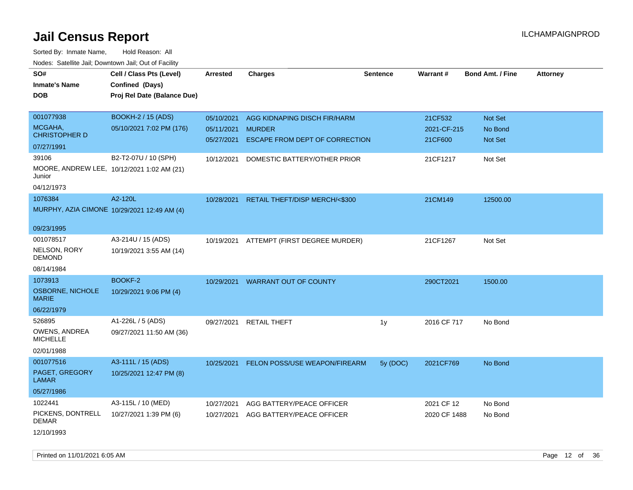Sorted By: Inmate Name, Hold Reason: All Nodes: Satellite Jail; Downtown Jail; Out of Facility

| SO#                                                  | Cell / Class Pts (Level)    | <b>Arrested</b> | <b>Charges</b>                           | <b>Sentence</b> | <b>Warrant#</b> | <b>Bond Amt. / Fine</b> | <b>Attorney</b> |
|------------------------------------------------------|-----------------------------|-----------------|------------------------------------------|-----------------|-----------------|-------------------------|-----------------|
| <b>Inmate's Name</b>                                 | Confined (Days)             |                 |                                          |                 |                 |                         |                 |
| <b>DOB</b>                                           | Proj Rel Date (Balance Due) |                 |                                          |                 |                 |                         |                 |
|                                                      |                             |                 |                                          |                 |                 |                         |                 |
| 001077938                                            | <b>BOOKH-2 / 15 (ADS)</b>   | 05/10/2021      | AGG KIDNAPING DISCH FIR/HARM             |                 | 21CF532         | Not Set                 |                 |
| MCGAHA,                                              | 05/10/2021 7:02 PM (176)    | 05/11/2021      | <b>MURDER</b>                            |                 | 2021-CF-215     | No Bond                 |                 |
| <b>CHRISTOPHER D</b>                                 |                             | 05/27/2021      | ESCAPE FROM DEPT OF CORRECTION           |                 | 21CF600         | Not Set                 |                 |
| 07/27/1991                                           |                             |                 |                                          |                 |                 |                         |                 |
| 39106                                                | B2-T2-07U / 10 (SPH)        | 10/12/2021      | DOMESTIC BATTERY/OTHER PRIOR             |                 | 21CF1217        | Not Set                 |                 |
| MOORE, ANDREW LEE, 10/12/2021 1:02 AM (21)<br>Junior |                             |                 |                                          |                 |                 |                         |                 |
| 04/12/1973                                           |                             |                 |                                          |                 |                 |                         |                 |
| 1076384                                              | A2-120L                     | 10/28/2021      | RETAIL THEFT/DISP MERCH/<\$300           |                 | 21CM149         | 12500.00                |                 |
| MURPHY, AZIA CIMONE 10/29/2021 12:49 AM (4)          |                             |                 |                                          |                 |                 |                         |                 |
| 09/23/1995                                           |                             |                 |                                          |                 |                 |                         |                 |
| 001078517                                            | A3-214U / 15 (ADS)          |                 | 10/19/2021 ATTEMPT (FIRST DEGREE MURDER) |                 | 21CF1267        | Not Set                 |                 |
| NELSON, RORY<br><b>DEMOND</b>                        | 10/19/2021 3:55 AM (14)     |                 |                                          |                 |                 |                         |                 |
| 08/14/1984                                           |                             |                 |                                          |                 |                 |                         |                 |
| 1073913                                              | BOOKF-2                     | 10/29/2021      | <b>WARRANT OUT OF COUNTY</b>             |                 | 290CT2021       | 1500.00                 |                 |
| <b>OSBORNE, NICHOLE</b><br><b>MARIE</b>              | 10/29/2021 9:06 PM (4)      |                 |                                          |                 |                 |                         |                 |
| 06/22/1979                                           |                             |                 |                                          |                 |                 |                         |                 |
| 526895                                               | A1-226L / 5 (ADS)           | 09/27/2021      | <b>RETAIL THEFT</b>                      | 1y              | 2016 CF 717     | No Bond                 |                 |
| <b>OWENS, ANDREA</b><br><b>MICHELLE</b>              | 09/27/2021 11:50 AM (36)    |                 |                                          |                 |                 |                         |                 |
| 02/01/1988                                           |                             |                 |                                          |                 |                 |                         |                 |
| 001077516                                            | A3-111L / 15 (ADS)          | 10/25/2021      | FELON POSS/USE WEAPON/FIREARM            | 5y (DOC)        | 2021CF769       | No Bond                 |                 |
| PAGET, GREGORY<br><b>LAMAR</b>                       | 10/25/2021 12:47 PM (8)     |                 |                                          |                 |                 |                         |                 |
| 05/27/1986                                           |                             |                 |                                          |                 |                 |                         |                 |
| 1022441                                              | A3-115L / 10 (MED)          | 10/27/2021      | AGG BATTERY/PEACE OFFICER                |                 | 2021 CF 12      | No Bond                 |                 |
| PICKENS, DONTRELL<br><b>DEMAR</b>                    | 10/27/2021 1:39 PM (6)      | 10/27/2021      | AGG BATTERY/PEACE OFFICER                |                 | 2020 CF 1488    | No Bond                 |                 |
| 12/10/1993                                           |                             |                 |                                          |                 |                 |                         |                 |

Printed on 11/01/2021 6:05 AM **Page 12** of 36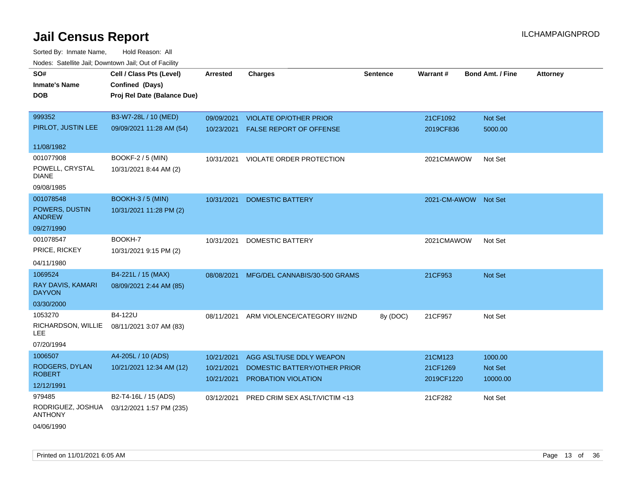| SO#<br><b>Inmate's Name</b>                                 | Cell / Class Pts (Level)<br>Confined (Days)        | <b>Arrested</b>                        | <b>Charges</b>                                                                  | <b>Sentence</b> | <b>Warrant#</b>                   | <b>Bond Amt. / Fine</b>        | <b>Attorney</b> |
|-------------------------------------------------------------|----------------------------------------------------|----------------------------------------|---------------------------------------------------------------------------------|-----------------|-----------------------------------|--------------------------------|-----------------|
| DOB                                                         | Proj Rel Date (Balance Due)                        |                                        |                                                                                 |                 |                                   |                                |                 |
| 999352<br>PIRLOT, JUSTIN LEE                                | B3-W7-28L / 10 (MED)<br>09/09/2021 11:28 AM (54)   | 09/09/2021<br>10/23/2021               | <b>VIOLATE OP/OTHER PRIOR</b><br><b>FALSE REPORT OF OFFENSE</b>                 |                 | 21CF1092<br>2019CF836             | Not Set<br>5000.00             |                 |
| 11/08/1982                                                  |                                                    |                                        |                                                                                 |                 |                                   |                                |                 |
| 001077908<br>POWELL, CRYSTAL<br>DIANE<br>09/08/1985         | <b>BOOKF-2 / 5 (MIN)</b><br>10/31/2021 8:44 AM (2) | 10/31/2021                             | VIOLATE ORDER PROTECTION                                                        |                 | 2021CMAWOW                        | Not Set                        |                 |
| 001078548<br>POWERS, DUSTIN<br><b>ANDREW</b><br>09/27/1990  | <b>BOOKH-3/5 (MIN)</b><br>10/31/2021 11:28 PM (2)  | 10/31/2021                             | <b>DOMESTIC BATTERY</b>                                                         |                 | 2021-CM-AWOW Not Set              |                                |                 |
| 001078547<br>PRICE, RICKEY<br>04/11/1980                    | BOOKH-7<br>10/31/2021 9:15 PM (2)                  | 10/31/2021                             | <b>DOMESTIC BATTERY</b>                                                         |                 | 2021CMAWOW                        | Not Set                        |                 |
| 1069524<br>RAY DAVIS, KAMARI<br><b>DAYVON</b><br>03/30/2000 | B4-221L / 15 (MAX)<br>08/09/2021 2:44 AM (85)      | 08/08/2021                             | MFG/DEL CANNABIS/30-500 GRAMS                                                   |                 | 21CF953                           | <b>Not Set</b>                 |                 |
| 1053270<br>RICHARDSON, WILLIE<br>LEE<br>07/20/1994          | B4-122U<br>08/11/2021 3:07 AM (83)                 | 08/11/2021                             | ARM VIOLENCE/CATEGORY III/2ND                                                   | 8y (DOC)        | 21CF957                           | Not Set                        |                 |
| 1006507<br>RODGERS, DYLAN<br><b>ROBERT</b><br>12/12/1991    | A4-205L / 10 (ADS)<br>10/21/2021 12:34 AM (12)     | 10/21/2021<br>10/21/2021<br>10/21/2021 | AGG ASLT/USE DDLY WEAPON<br>DOMESTIC BATTERY/OTHER PRIOR<br>PROBATION VIOLATION |                 | 21CM123<br>21CF1269<br>2019CF1220 | 1000.00<br>Not Set<br>10000.00 |                 |
| 979485<br>RODRIGUEZ, JOSHUA<br>ANTHONY<br>04/06/1990        | B2-T4-16L / 15 (ADS)<br>03/12/2021 1:57 PM (235)   | 03/12/2021                             | PRED CRIM SEX ASLT/VICTIM <13                                                   |                 | 21CF282                           | Not Set                        |                 |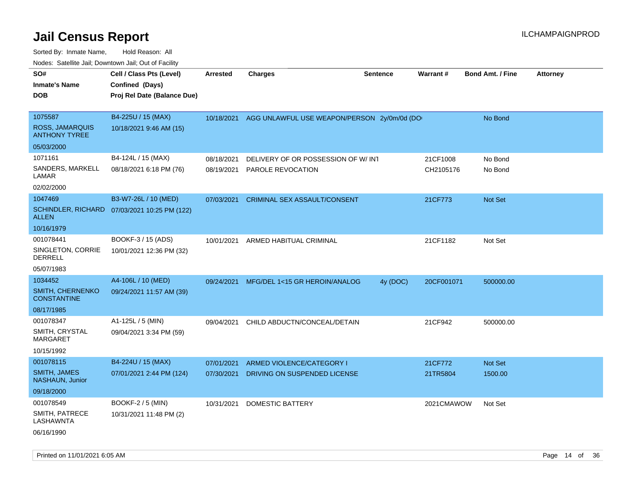| SO#                                            | Cell / Class Pts (Level)                     | <b>Arrested</b> | <b>Charges</b>                              | <b>Sentence</b> | <b>Warrant#</b> | <b>Bond Amt. / Fine</b> | <b>Attorney</b> |
|------------------------------------------------|----------------------------------------------|-----------------|---------------------------------------------|-----------------|-----------------|-------------------------|-----------------|
| <b>Inmate's Name</b>                           | Confined (Days)                              |                 |                                             |                 |                 |                         |                 |
| <b>DOB</b>                                     | Proj Rel Date (Balance Due)                  |                 |                                             |                 |                 |                         |                 |
|                                                |                                              |                 |                                             |                 |                 |                         |                 |
| 1075587                                        | B4-225U / 15 (MAX)                           | 10/18/2021      | AGG UNLAWFUL USE WEAPON/PERSON 2y/0m/0d (DO |                 |                 | No Bond                 |                 |
| <b>ROSS, JAMARQUIS</b><br><b>ANTHONY TYREE</b> | 10/18/2021 9:46 AM (15)                      |                 |                                             |                 |                 |                         |                 |
| 05/03/2000                                     |                                              |                 |                                             |                 |                 |                         |                 |
| 1071161                                        | B4-124L / 15 (MAX)                           | 08/18/2021      | DELIVERY OF OR POSSESSION OF W/INT          |                 | 21CF1008        | No Bond                 |                 |
| SANDERS, MARKELL<br>LAMAR                      | 08/18/2021 6:18 PM (76)                      | 08/19/2021      | PAROLE REVOCATION                           |                 | CH2105176       | No Bond                 |                 |
| 02/02/2000                                     |                                              |                 |                                             |                 |                 |                         |                 |
| 1047469                                        | B3-W7-26L / 10 (MED)                         | 07/03/2021      | CRIMINAL SEX ASSAULT/CONSENT                |                 | 21CF773         | Not Set                 |                 |
| <b>ALLEN</b>                                   | SCHINDLER, RICHARD 07/03/2021 10:25 PM (122) |                 |                                             |                 |                 |                         |                 |
| 10/16/1979                                     |                                              |                 |                                             |                 |                 |                         |                 |
| 001078441                                      | BOOKF-3 / 15 (ADS)                           | 10/01/2021      | ARMED HABITUAL CRIMINAL                     |                 | 21CF1182        | Not Set                 |                 |
| SINGLETON, CORRIE<br><b>DERRELL</b>            | 10/01/2021 12:36 PM (32)                     |                 |                                             |                 |                 |                         |                 |
| 05/07/1983                                     |                                              |                 |                                             |                 |                 |                         |                 |
| 1034452                                        | A4-106L / 10 (MED)                           | 09/24/2021      | MFG/DEL 1<15 GR HEROIN/ANALOG               | 4y (DOC)        | 20CF001071      | 500000.00               |                 |
| SMITH, CHERNENKO<br><b>CONSTANTINE</b>         | 09/24/2021 11:57 AM (39)                     |                 |                                             |                 |                 |                         |                 |
| 08/17/1985                                     |                                              |                 |                                             |                 |                 |                         |                 |
| 001078347                                      | A1-125L / 5 (MIN)                            | 09/04/2021      | CHILD ABDUCTN/CONCEAL/DETAIN                |                 | 21CF942         | 500000.00               |                 |
| SMITH, CRYSTAL<br><b>MARGARET</b>              | 09/04/2021 3:34 PM (59)                      |                 |                                             |                 |                 |                         |                 |
| 10/15/1992                                     |                                              |                 |                                             |                 |                 |                         |                 |
| 001078115                                      | B4-224U / 15 (MAX)                           | 07/01/2021      | ARMED VIOLENCE/CATEGORY I                   |                 | 21CF772         | <b>Not Set</b>          |                 |
| <b>SMITH, JAMES</b><br><b>NASHAUN, Junior</b>  | 07/01/2021 2:44 PM (124)                     | 07/30/2021      | DRIVING ON SUSPENDED LICENSE                |                 | 21TR5804        | 1500.00                 |                 |
| 09/18/2000                                     |                                              |                 |                                             |                 |                 |                         |                 |
| 001078549                                      | <b>BOOKF-2 / 5 (MIN)</b>                     | 10/31/2021      | <b>DOMESTIC BATTERY</b>                     |                 | 2021CMAWOW      | Not Set                 |                 |
| SMITH, PATRECE<br>LASHAWNTA                    | 10/31/2021 11:48 PM (2)                      |                 |                                             |                 |                 |                         |                 |
| 06/16/1990                                     |                                              |                 |                                             |                 |                 |                         |                 |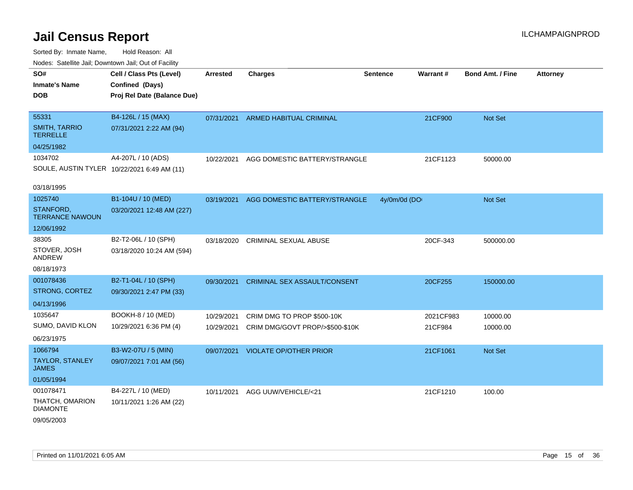| Noucs. Oatchite Jail, Downtown Jail, Out of Facility |                                             |                 |                                 |                 |           |                         |                 |
|------------------------------------------------------|---------------------------------------------|-----------------|---------------------------------|-----------------|-----------|-------------------------|-----------------|
| SO#                                                  | Cell / Class Pts (Level)                    | <b>Arrested</b> | <b>Charges</b>                  | <b>Sentence</b> | Warrant#  | <b>Bond Amt. / Fine</b> | <b>Attorney</b> |
| <b>Inmate's Name</b>                                 | Confined (Days)                             |                 |                                 |                 |           |                         |                 |
| DOB                                                  | Proj Rel Date (Balance Due)                 |                 |                                 |                 |           |                         |                 |
|                                                      |                                             |                 |                                 |                 |           |                         |                 |
| 55331                                                | B4-126L / 15 (MAX)                          | 07/31/2021      | ARMED HABITUAL CRIMINAL         |                 | 21CF900   | Not Set                 |                 |
| <b>SMITH, TARRIO</b><br><b>TERRELLE</b>              | 07/31/2021 2:22 AM (94)                     |                 |                                 |                 |           |                         |                 |
| 04/25/1982                                           |                                             |                 |                                 |                 |           |                         |                 |
| 1034702                                              | A4-207L / 10 (ADS)                          | 10/22/2021      | AGG DOMESTIC BATTERY/STRANGLE   |                 | 21CF1123  | 50000.00                |                 |
|                                                      | SOULE, AUSTIN TYLER 10/22/2021 6:49 AM (11) |                 |                                 |                 |           |                         |                 |
|                                                      |                                             |                 |                                 |                 |           |                         |                 |
| 03/18/1995                                           |                                             |                 |                                 |                 |           |                         |                 |
| 1025740                                              | B1-104U / 10 (MED)                          | 03/19/2021      | AGG DOMESTIC BATTERY/STRANGLE   | 4y/0m/0d (DO    |           | Not Set                 |                 |
| STANFORD,<br><b>TERRANCE NAWOUN</b>                  | 03/20/2021 12:48 AM (227)                   |                 |                                 |                 |           |                         |                 |
| 12/06/1992                                           |                                             |                 |                                 |                 |           |                         |                 |
| 38305                                                | B2-T2-06L / 10 (SPH)                        | 03/18/2020      | CRIMINAL SEXUAL ABUSE           |                 | 20CF-343  | 500000.00               |                 |
| STOVER, JOSH<br><b>ANDREW</b>                        | 03/18/2020 10:24 AM (594)                   |                 |                                 |                 |           |                         |                 |
| 08/18/1973                                           |                                             |                 |                                 |                 |           |                         |                 |
| 001078436                                            | B2-T1-04L / 10 (SPH)                        | 09/30/2021      | CRIMINAL SEX ASSAULT/CONSENT    |                 | 20CF255   | 150000.00               |                 |
| STRONG, CORTEZ                                       | 09/30/2021 2:47 PM (33)                     |                 |                                 |                 |           |                         |                 |
| 04/13/1996                                           |                                             |                 |                                 |                 |           |                         |                 |
| 1035647                                              | BOOKH-8 / 10 (MED)                          | 10/29/2021      | CRIM DMG TO PROP \$500-10K      |                 | 2021CF983 | 10000.00                |                 |
| SUMO, DAVID KLON                                     | 10/29/2021 6:36 PM (4)                      | 10/29/2021      | CRIM DMG/GOVT PROP/>\$500-\$10K |                 | 21CF984   | 10000.00                |                 |
| 06/23/1975                                           |                                             |                 |                                 |                 |           |                         |                 |
| 1066794                                              | B3-W2-07U / 5 (MIN)                         | 09/07/2021      | <b>VIOLATE OP/OTHER PRIOR</b>   |                 | 21CF1061  | Not Set                 |                 |
| <b>TAYLOR, STANLEY</b><br><b>JAMES</b>               | 09/07/2021 7:01 AM (56)                     |                 |                                 |                 |           |                         |                 |
| 01/05/1994                                           |                                             |                 |                                 |                 |           |                         |                 |
| 001078471                                            | B4-227L / 10 (MED)                          | 10/11/2021      | AGG UUW/VEHICLE/<21             |                 | 21CF1210  | 100.00                  |                 |
| THATCH, OMARION<br><b>DIAMONTE</b>                   | 10/11/2021 1:26 AM (22)                     |                 |                                 |                 |           |                         |                 |
| 09/05/2003                                           |                                             |                 |                                 |                 |           |                         |                 |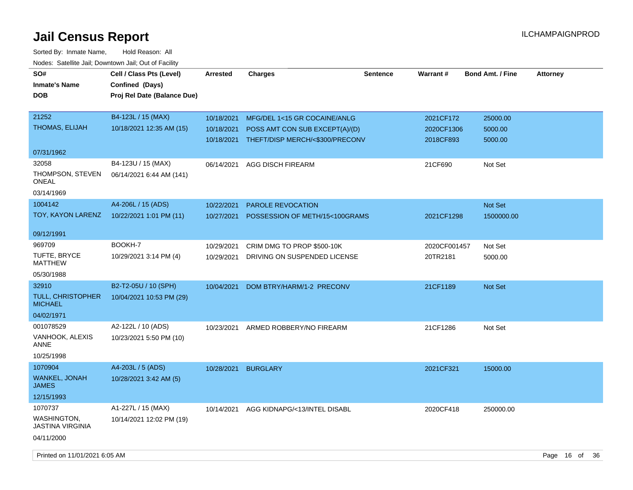| SO#<br><b>Inmate's Name</b><br><b>DOB</b>  | Cell / Class Pts (Level)<br>Confined (Days)<br>Proj Rel Date (Balance Due) | <b>Arrested</b> | <b>Charges</b>                             | <b>Sentence</b> | <b>Warrant#</b> | <b>Bond Amt. / Fine</b> | <b>Attorney</b> |  |
|--------------------------------------------|----------------------------------------------------------------------------|-----------------|--------------------------------------------|-----------------|-----------------|-------------------------|-----------------|--|
| 21252                                      | B4-123L / 15 (MAX)                                                         | 10/18/2021      | MFG/DEL 1<15 GR COCAINE/ANLG               |                 | 2021CF172       | 25000.00                |                 |  |
| THOMAS, ELIJAH                             | 10/18/2021 12:35 AM (15)                                                   | 10/18/2021      | POSS AMT CON SUB EXCEPT(A)/(D)             |                 | 2020CF1306      | 5000.00                 |                 |  |
|                                            |                                                                            |                 | 10/18/2021 THEFT/DISP MERCH/<\$300/PRECONV |                 | 2018CF893       | 5000.00                 |                 |  |
| 07/31/1962                                 |                                                                            |                 |                                            |                 |                 |                         |                 |  |
| 32058                                      | B4-123U / 15 (MAX)                                                         | 06/14/2021      | <b>AGG DISCH FIREARM</b>                   |                 | 21CF690         | Not Set                 |                 |  |
| THOMPSON, STEVEN<br><b>ONEAL</b>           | 06/14/2021 6:44 AM (141)                                                   |                 |                                            |                 |                 |                         |                 |  |
| 03/14/1969                                 |                                                                            |                 |                                            |                 |                 |                         |                 |  |
| 1004142                                    | A4-206L / 15 (ADS)                                                         | 10/22/2021      | <b>PAROLE REVOCATION</b>                   |                 |                 | Not Set                 |                 |  |
| TOY, KAYON LARENZ                          | 10/22/2021 1:01 PM (11)                                                    | 10/27/2021      | POSSESSION OF METH/15<100GRAMS             |                 | 2021CF1298      | 1500000.00              |                 |  |
|                                            |                                                                            |                 |                                            |                 |                 |                         |                 |  |
| 09/12/1991                                 |                                                                            |                 |                                            |                 |                 |                         |                 |  |
| 969709                                     | BOOKH-7                                                                    | 10/29/2021      | CRIM DMG TO PROP \$500-10K                 |                 | 2020CF001457    | Not Set                 |                 |  |
| TUFTE, BRYCE<br><b>MATTHEW</b>             | 10/29/2021 3:14 PM (4)                                                     | 10/29/2021      | DRIVING ON SUSPENDED LICENSE               |                 | 20TR2181        | 5000.00                 |                 |  |
| 05/30/1988                                 |                                                                            |                 |                                            |                 |                 |                         |                 |  |
| 32910                                      | B2-T2-05U / 10 (SPH)                                                       | 10/04/2021      | DOM BTRY/HARM/1-2 PRECONV                  |                 | 21CF1189        | Not Set                 |                 |  |
| <b>TULL, CHRISTOPHER</b><br><b>MICHAEL</b> | 10/04/2021 10:53 PM (29)                                                   |                 |                                            |                 |                 |                         |                 |  |
| 04/02/1971                                 |                                                                            |                 |                                            |                 |                 |                         |                 |  |
| 001078529                                  | A2-122L / 10 (ADS)                                                         | 10/23/2021      | ARMED ROBBERY/NO FIREARM                   |                 | 21CF1286        | Not Set                 |                 |  |
| VANHOOK, ALEXIS<br>ANNE                    | 10/23/2021 5:50 PM (10)                                                    |                 |                                            |                 |                 |                         |                 |  |
| 10/25/1998                                 |                                                                            |                 |                                            |                 |                 |                         |                 |  |
| 1070904                                    | A4-203L / 5 (ADS)                                                          | 10/28/2021      | <b>BURGLARY</b>                            |                 | 2021CF321       | 15000.00                |                 |  |
| WANKEL, JONAH<br><b>JAMES</b>              | 10/28/2021 3:42 AM (5)                                                     |                 |                                            |                 |                 |                         |                 |  |
| 12/15/1993                                 |                                                                            |                 |                                            |                 |                 |                         |                 |  |
| 1070737                                    | A1-227L / 15 (MAX)                                                         | 10/14/2021      | AGG KIDNAPG/<13/INTEL DISABL               |                 | 2020CF418       | 250000.00               |                 |  |
| WASHINGTON,<br><b>JASTINA VIRGINIA</b>     | 10/14/2021 12:02 PM (19)                                                   |                 |                                            |                 |                 |                         |                 |  |
| 04/11/2000                                 |                                                                            |                 |                                            |                 |                 |                         |                 |  |
| Printed on 11/01/2021 6:05 AM              |                                                                            |                 |                                            |                 |                 |                         | Page 16 of 36   |  |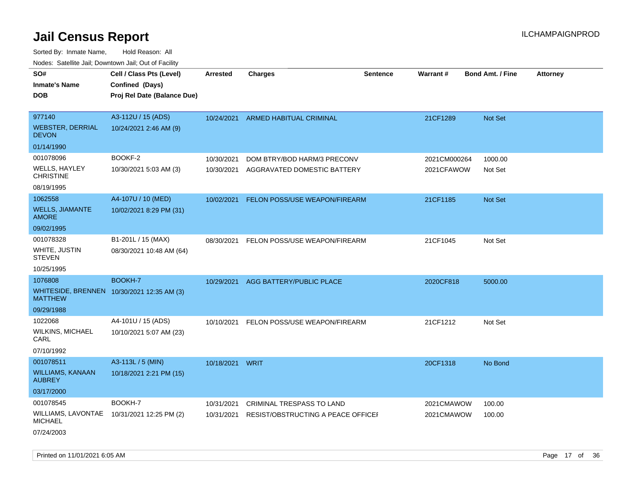| rougs. Calcing Jan, Downtown Jan, Out of Facility |                                            |                 |                                    |                 |                 |                         |                 |
|---------------------------------------------------|--------------------------------------------|-----------------|------------------------------------|-----------------|-----------------|-------------------------|-----------------|
| SO#                                               | Cell / Class Pts (Level)                   | <b>Arrested</b> | <b>Charges</b>                     | <b>Sentence</b> | <b>Warrant#</b> | <b>Bond Amt. / Fine</b> | <b>Attorney</b> |
| <b>Inmate's Name</b>                              | Confined (Days)                            |                 |                                    |                 |                 |                         |                 |
| <b>DOB</b>                                        | Proj Rel Date (Balance Due)                |                 |                                    |                 |                 |                         |                 |
|                                                   |                                            |                 |                                    |                 |                 |                         |                 |
| 977140                                            | A3-112U / 15 (ADS)                         |                 | 10/24/2021 ARMED HABITUAL CRIMINAL |                 | 21CF1289        | Not Set                 |                 |
| <b>WEBSTER, DERRIAL</b><br><b>DEVON</b>           | 10/24/2021 2:46 AM (9)                     |                 |                                    |                 |                 |                         |                 |
| 01/14/1990                                        |                                            |                 |                                    |                 |                 |                         |                 |
| 001078096                                         | BOOKF-2                                    | 10/30/2021      | DOM BTRY/BOD HARM/3 PRECONV        |                 | 2021CM000264    | 1000.00                 |                 |
| <b>WELLS, HAYLEY</b><br><b>CHRISTINE</b>          | 10/30/2021 5:03 AM (3)                     | 10/30/2021      | AGGRAVATED DOMESTIC BATTERY        |                 | 2021CFAWOW      | Not Set                 |                 |
| 08/19/1995                                        |                                            |                 |                                    |                 |                 |                         |                 |
| 1062558                                           | A4-107U / 10 (MED)                         | 10/02/2021      | FELON POSS/USE WEAPON/FIREARM      |                 | 21CF1185        | Not Set                 |                 |
| <b>WELLS, JIAMANTE</b><br><b>AMORE</b>            | 10/02/2021 8:29 PM (31)                    |                 |                                    |                 |                 |                         |                 |
| 09/02/1995                                        |                                            |                 |                                    |                 |                 |                         |                 |
| 001078328                                         | B1-201L / 15 (MAX)                         | 08/30/2021      | FELON POSS/USE WEAPON/FIREARM      |                 | 21CF1045        | Not Set                 |                 |
| WHITE, JUSTIN<br>STEVEN                           | 08/30/2021 10:48 AM (64)                   |                 |                                    |                 |                 |                         |                 |
| 10/25/1995                                        |                                            |                 |                                    |                 |                 |                         |                 |
| 1076808                                           | BOOKH-7                                    | 10/29/2021      | AGG BATTERY/PUBLIC PLACE           |                 | 2020CF818       | 5000.00                 |                 |
| <b>MATTHEW</b>                                    | WHITESIDE, BRENNEN 10/30/2021 12:35 AM (3) |                 |                                    |                 |                 |                         |                 |
| 09/29/1988                                        |                                            |                 |                                    |                 |                 |                         |                 |
| 1022068                                           | A4-101U / 15 (ADS)                         | 10/10/2021      | FELON POSS/USE WEAPON/FIREARM      |                 | 21CF1212        | Not Set                 |                 |
| <b>WILKINS, MICHAEL</b><br>CARL                   | 10/10/2021 5:07 AM (23)                    |                 |                                    |                 |                 |                         |                 |
| 07/10/1992                                        |                                            |                 |                                    |                 |                 |                         |                 |
| 001078511                                         | A3-113L / 5 (MIN)                          | 10/18/2021      | <b>WRIT</b>                        |                 | 20CF1318        | No Bond                 |                 |
| <b>WILLIAMS, KANAAN</b><br><b>AUBREY</b>          | 10/18/2021 2:21 PM (15)                    |                 |                                    |                 |                 |                         |                 |
| 03/17/2000                                        |                                            |                 |                                    |                 |                 |                         |                 |
| 001078545                                         | BOOKH-7                                    | 10/31/2021      | CRIMINAL TRESPASS TO LAND          |                 | 2021CMAWOW      | 100.00                  |                 |
| <b>MICHAEL</b>                                    | WILLIAMS, LAVONTAE 10/31/2021 12:25 PM (2) | 10/31/2021      | RESIST/OBSTRUCTING A PEACE OFFICEF |                 | 2021CMAWOW      | 100.00                  |                 |
| 07/24/2003                                        |                                            |                 |                                    |                 |                 |                         |                 |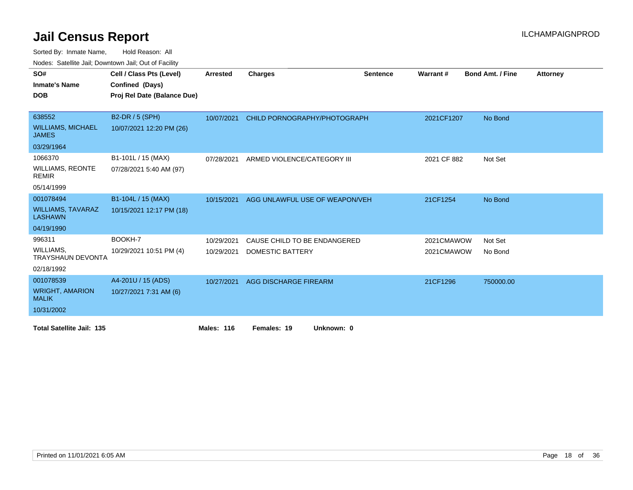| 10000. 001011110 0011, DOMINOMITOOII, OUL OF FOOTING |                             |                   |                                |                 |             |                         |                 |
|------------------------------------------------------|-----------------------------|-------------------|--------------------------------|-----------------|-------------|-------------------------|-----------------|
| SO#                                                  | Cell / Class Pts (Level)    | <b>Arrested</b>   | <b>Charges</b>                 | <b>Sentence</b> | Warrant#    | <b>Bond Amt. / Fine</b> | <b>Attorney</b> |
| <b>Inmate's Name</b>                                 | Confined (Days)             |                   |                                |                 |             |                         |                 |
| <b>DOB</b>                                           | Proj Rel Date (Balance Due) |                   |                                |                 |             |                         |                 |
|                                                      |                             |                   |                                |                 |             |                         |                 |
| 638552                                               | B2-DR / 5 (SPH)             | 10/07/2021        | CHILD PORNOGRAPHY/PHOTOGRAPH   |                 | 2021CF1207  | No Bond                 |                 |
| <b>WILLIAMS, MICHAEL</b><br><b>JAMES</b>             | 10/07/2021 12:20 PM (26)    |                   |                                |                 |             |                         |                 |
| 03/29/1964                                           |                             |                   |                                |                 |             |                         |                 |
| 1066370                                              | B1-101L / 15 (MAX)          | 07/28/2021        | ARMED VIOLENCE/CATEGORY III    |                 | 2021 CF 882 | Not Set                 |                 |
| <b>WILLIAMS, REONTE</b><br><b>REMIR</b>              | 07/28/2021 5:40 AM (97)     |                   |                                |                 |             |                         |                 |
| 05/14/1999                                           |                             |                   |                                |                 |             |                         |                 |
| 001078494                                            | B1-104L / 15 (MAX)          | 10/15/2021        | AGG UNLAWFUL USE OF WEAPON/VEH |                 | 21CF1254    | No Bond                 |                 |
| <b>WILLIAMS, TAVARAZ</b><br><b>LASHAWN</b>           | 10/15/2021 12:17 PM (18)    |                   |                                |                 |             |                         |                 |
| 04/19/1990                                           |                             |                   |                                |                 |             |                         |                 |
| 996311                                               | BOOKH-7                     | 10/29/2021        | CAUSE CHILD TO BE ENDANGERED   |                 | 2021CMAWOW  | Not Set                 |                 |
| WILLIAMS,<br><b>TRAYSHAUN DEVONTA</b>                | 10/29/2021 10:51 PM (4)     | 10/29/2021        | <b>DOMESTIC BATTERY</b>        |                 | 2021CMAWOW  | No Bond                 |                 |
| 02/18/1992                                           |                             |                   |                                |                 |             |                         |                 |
| 001078539                                            | A4-201U / 15 (ADS)          | 10/27/2021        | AGG DISCHARGE FIREARM          |                 | 21CF1296    | 750000.00               |                 |
| <b>WRIGHT, AMARION</b><br><b>MALIK</b>               | 10/27/2021 7:31 AM (6)      |                   |                                |                 |             |                         |                 |
| 10/31/2002                                           |                             |                   |                                |                 |             |                         |                 |
| <b>Total Satellite Jail: 135</b>                     |                             | <b>Males: 116</b> | Females: 19<br>Unknown: 0      |                 |             |                         |                 |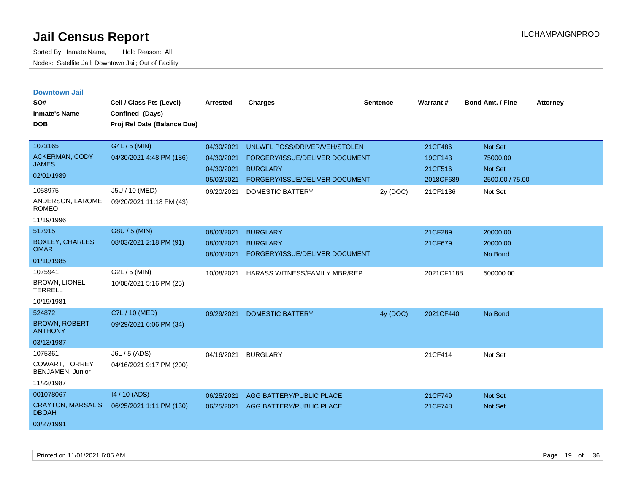Sorted By: Inmate Name, Hold Reason: All Nodes: Satellite Jail; Downtown Jail; Out of Facility

| <b>Downtown Jail</b>                      |                             |                          |                                                   |                 |                    |                            |                 |
|-------------------------------------------|-----------------------------|--------------------------|---------------------------------------------------|-----------------|--------------------|----------------------------|-----------------|
| SO#                                       | Cell / Class Pts (Level)    | <b>Arrested</b>          | <b>Charges</b>                                    | <b>Sentence</b> | <b>Warrant#</b>    | <b>Bond Amt. / Fine</b>    | <b>Attorney</b> |
| <b>Inmate's Name</b>                      | Confined (Days)             |                          |                                                   |                 |                    |                            |                 |
| <b>DOB</b>                                | Proj Rel Date (Balance Due) |                          |                                                   |                 |                    |                            |                 |
|                                           |                             |                          |                                                   |                 |                    |                            |                 |
| 1073165                                   | G4L / 5 (MIN)               | 04/30/2021               | UNLWFL POSS/DRIVER/VEH/STOLEN                     |                 | 21CF486            | <b>Not Set</b>             |                 |
| <b>ACKERMAN, CODY</b><br><b>JAMES</b>     | 04/30/2021 4:48 PM (186)    | 04/30/2021<br>04/30/2021 | FORGERY/ISSUE/DELIVER DOCUMENT<br><b>BURGLARY</b> |                 | 19CF143<br>21CF516 | 75000.00<br><b>Not Set</b> |                 |
| 02/01/1989                                |                             | 05/03/2021               | FORGERY/ISSUE/DELIVER DOCUMENT                    |                 | 2018CF689          | 2500.00 / 75.00            |                 |
| 1058975                                   | J5U / 10 (MED)              | 09/20/2021               | <b>DOMESTIC BATTERY</b>                           | 2y (DOC)        | 21CF1136           | Not Set                    |                 |
| ANDERSON, LAROME<br><b>ROMEO</b>          | 09/20/2021 11:18 PM (43)    |                          |                                                   |                 |                    |                            |                 |
| 11/19/1996                                |                             |                          |                                                   |                 |                    |                            |                 |
| 517915                                    | G8U / 5 (MIN)               | 08/03/2021               | <b>BURGLARY</b>                                   |                 | 21CF289            | 20000.00                   |                 |
| <b>BOXLEY, CHARLES</b><br><b>OMAR</b>     | 08/03/2021 2:18 PM (91)     | 08/03/2021               | <b>BURGLARY</b>                                   |                 | 21CF679            | 20000.00<br>No Bond        |                 |
| 01/10/1985                                |                             | 08/03/2021               | FORGERY/ISSUE/DELIVER DOCUMENT                    |                 |                    |                            |                 |
| 1075941                                   | G2L / 5 (MIN)               | 10/08/2021               | <b>HARASS WITNESS/FAMILY MBR/REP</b>              |                 | 2021CF1188         | 500000.00                  |                 |
| <b>BROWN, LIONEL</b><br><b>TERRELL</b>    | 10/08/2021 5:16 PM (25)     |                          |                                                   |                 |                    |                            |                 |
| 10/19/1981                                |                             |                          |                                                   |                 |                    |                            |                 |
| 524872                                    | C7L / 10 (MED)              | 09/29/2021               | <b>DOMESTIC BATTERY</b>                           | 4y (DOC)        | 2021CF440          | No Bond                    |                 |
| <b>BROWN, ROBERT</b><br><b>ANTHONY</b>    | 09/29/2021 6:06 PM (34)     |                          |                                                   |                 |                    |                            |                 |
| 03/13/1987                                |                             |                          |                                                   |                 |                    |                            |                 |
| 1075361                                   | J6L / 5 (ADS)               | 04/16/2021               | <b>BURGLARY</b>                                   |                 | 21CF414            | Not Set                    |                 |
| <b>COWART, TORREY</b><br>BENJAMEN, Junior | 04/16/2021 9:17 PM (200)    |                          |                                                   |                 |                    |                            |                 |
| 11/22/1987                                |                             |                          |                                                   |                 |                    |                            |                 |
| 001078067                                 | 14 / 10 (ADS)               | 06/25/2021               | <b>AGG BATTERY/PUBLIC PLACE</b>                   |                 | 21CF749            | <b>Not Set</b>             |                 |
| <b>CRAYTON, MARSALIS</b><br><b>DBOAH</b>  | 06/25/2021 1:11 PM (130)    | 06/25/2021               | AGG BATTERY/PUBLIC PLACE                          |                 | 21CF748            | Not Set                    |                 |

03/27/1991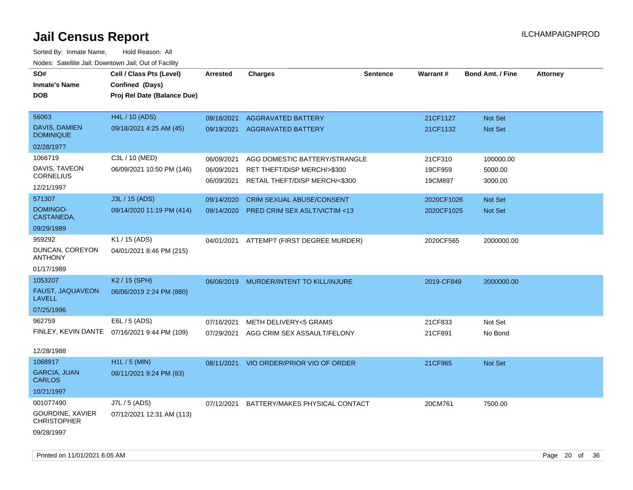Sorted By: Inmate Name, Hold Reason: All Nodes: Satellite Jail; Downtown Jail; Out of Facility

| roaco. Calcinio dan, Downtown dan, Out or Fability |                                              |            |                                          |          |                 |                         |                 |
|----------------------------------------------------|----------------------------------------------|------------|------------------------------------------|----------|-----------------|-------------------------|-----------------|
| SO#                                                | Cell / Class Pts (Level)                     | Arrested   | <b>Charges</b>                           | Sentence | <b>Warrant#</b> | <b>Bond Amt. / Fine</b> | <b>Attorney</b> |
| <b>Inmate's Name</b>                               | Confined (Days)                              |            |                                          |          |                 |                         |                 |
| <b>DOB</b>                                         | Proj Rel Date (Balance Due)                  |            |                                          |          |                 |                         |                 |
|                                                    |                                              |            |                                          |          |                 |                         |                 |
| 56063                                              | H4L / 10 (ADS)                               | 09/18/2021 | <b>AGGRAVATED BATTERY</b>                |          | 21CF1127        | Not Set                 |                 |
| DAVIS, DAMIEN<br><b>DOMINIQUE</b>                  | 09/18/2021 4:25 AM (45)                      | 09/19/2021 | AGGRAVATED BATTERY                       |          | 21CF1132        | Not Set                 |                 |
| 02/28/1977                                         |                                              |            |                                          |          |                 |                         |                 |
| 1066719                                            | C3L / 10 (MED)                               | 06/09/2021 | AGG DOMESTIC BATTERY/STRANGLE            |          | 21CF310         | 100000.00               |                 |
| DAVIS, TAVEON                                      | 06/09/2021 10:50 PM (146)                    | 06/09/2021 | RET THEFT/DISP MERCH/>\$300              |          | 19CF959         | 5000.00                 |                 |
| <b>CORNELIUS</b>                                   |                                              | 06/09/2021 | RETAIL THEFT/DISP MERCH/<\$300           |          | 19CM897         | 3000.00                 |                 |
| 12/21/1997                                         |                                              |            |                                          |          |                 |                         |                 |
| 571307                                             | J3L / 15 (ADS)                               | 09/14/2020 | <b>CRIM SEXUAL ABUSE/CONSENT</b>         |          | 2020CF1026      | <b>Not Set</b>          |                 |
| DOMINGO-<br>CASTANEDA,                             | 09/14/2020 11:19 PM (414)                    | 09/14/2020 | <b>PRED CRIM SEX ASLT/VICTIM &lt;13</b>  |          | 2020CF1025      | Not Set                 |                 |
| 09/29/1989                                         |                                              |            |                                          |          |                 |                         |                 |
| 959292                                             | K1 / 15 (ADS)                                |            | 04/01/2021 ATTEMPT (FIRST DEGREE MURDER) |          | 2020CF565       | 2000000.00              |                 |
| DUNCAN, COREYON<br><b>ANTHONY</b>                  | 04/01/2021 8:46 PM (215)                     |            |                                          |          |                 |                         |                 |
| 01/17/1989                                         |                                              |            |                                          |          |                 |                         |                 |
| 1053207                                            | K <sub>2</sub> / 15 (SPH)                    | 06/06/2019 | MURDER/INTENT TO KILL/INJURE             |          | 2019-CF849      | 2000000.00              |                 |
| FAUST, JAQUAVEON<br><b>LAVELL</b>                  | 06/06/2019 2:24 PM (880)                     |            |                                          |          |                 |                         |                 |
| 07/25/1996                                         |                                              |            |                                          |          |                 |                         |                 |
| 962759                                             | E6L / 5 (ADS)                                | 07/16/2021 | <b>METH DELIVERY&lt;5 GRAMS</b>          |          | 21CF833         | Not Set                 |                 |
|                                                    | FINLEY, KEVIN DANTE 07/16/2021 9:44 PM (109) | 07/29/2021 | AGG CRIM SEX ASSAULT/FELONY              |          | 21CF891         | No Bond                 |                 |
|                                                    |                                              |            |                                          |          |                 |                         |                 |
| 12/28/1988                                         |                                              |            |                                          |          |                 |                         |                 |
| 1068917                                            | $H1L / 5$ (MIN)                              | 08/11/2021 | VIO ORDER/PRIOR VIO OF ORDER             |          | 21CF965         | Not Set                 |                 |
| <b>GARCIA, JUAN</b><br><b>CARLOS</b>               | 08/11/2021 9:24 PM (83)                      |            |                                          |          |                 |                         |                 |
| 10/21/1997                                         |                                              |            |                                          |          |                 |                         |                 |
| 001077490                                          | J7L / 5 (ADS)                                | 07/12/2021 | BATTERY/MAKES PHYSICAL CONTACT           |          | 20CM761         | 7500.00                 |                 |
| <b>GOURDINE, XAVIER</b><br><b>CHRISTOPHER</b>      | 07/12/2021 12:31 AM (113)                    |            |                                          |          |                 |                         |                 |
| 09/28/1997                                         |                                              |            |                                          |          |                 |                         |                 |

Printed on 11/01/2021 6:05 AM **Page 20 of 36**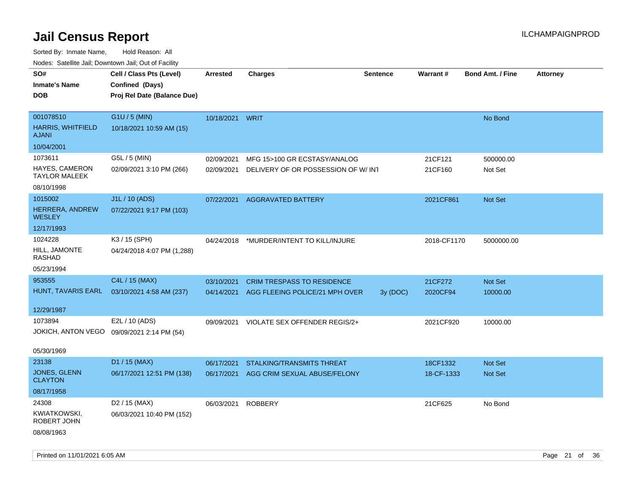| rouce. Calcinic Jan, Downtown Jan, Out or Facility |                             |                 |                                           |                 |             |                         |                 |
|----------------------------------------------------|-----------------------------|-----------------|-------------------------------------------|-----------------|-------------|-------------------------|-----------------|
| SO#                                                | Cell / Class Pts (Level)    | <b>Arrested</b> | <b>Charges</b>                            | <b>Sentence</b> | Warrant#    | <b>Bond Amt. / Fine</b> | <b>Attorney</b> |
| <b>Inmate's Name</b>                               | Confined (Days)             |                 |                                           |                 |             |                         |                 |
| <b>DOB</b>                                         | Proj Rel Date (Balance Due) |                 |                                           |                 |             |                         |                 |
|                                                    |                             |                 |                                           |                 |             |                         |                 |
| 001078510                                          | G1U / 5 (MIN)               | 10/18/2021 WRIT |                                           |                 |             | No Bond                 |                 |
| <b>HARRIS, WHITFIELD</b><br><b>AJANI</b>           | 10/18/2021 10:59 AM (15)    |                 |                                           |                 |             |                         |                 |
| 10/04/2001                                         |                             |                 |                                           |                 |             |                         |                 |
| 1073611                                            | G5L / 5 (MIN)               | 02/09/2021      | MFG 15>100 GR ECSTASY/ANALOG              |                 | 21CF121     | 500000.00               |                 |
| HAYES, CAMERON<br><b>TAYLOR MALEEK</b>             | 02/09/2021 3:10 PM (266)    | 02/09/2021      | DELIVERY OF OR POSSESSION OF W/INT        |                 | 21CF160     | Not Set                 |                 |
| 08/10/1998                                         |                             |                 |                                           |                 |             |                         |                 |
| 1015002                                            | J1L / 10 (ADS)              | 07/22/2021      | <b>AGGRAVATED BATTERY</b>                 |                 | 2021CF861   | Not Set                 |                 |
| HERRERA, ANDREW<br><b>WESLEY</b>                   | 07/22/2021 9:17 PM (103)    |                 |                                           |                 |             |                         |                 |
| 12/17/1993                                         |                             |                 |                                           |                 |             |                         |                 |
| 1024228                                            | K3 / 15 (SPH)               |                 | 04/24/2018 *MURDER/INTENT TO KILL/INJURE  |                 | 2018-CF1170 | 5000000.00              |                 |
| HILL, JAMONTE<br>RASHAD                            | 04/24/2018 4:07 PM (1,288)  |                 |                                           |                 |             |                         |                 |
| 05/23/1994                                         |                             |                 |                                           |                 |             |                         |                 |
| 953555                                             | C4L / 15 (MAX)              | 03/10/2021      | <b>CRIM TRESPASS TO RESIDENCE</b>         |                 | 21CF272     | Not Set                 |                 |
| HUNT, TAVARIS EARL                                 | 03/10/2021 4:58 AM (237)    |                 | 04/14/2021 AGG FLEEING POLICE/21 MPH OVER | 3y (DOC)        | 2020CF94    | 10000.00                |                 |
| 12/29/1987                                         |                             |                 |                                           |                 |             |                         |                 |
| 1073894                                            | E2L / 10 (ADS)              | 09/09/2021      | VIOLATE SEX OFFENDER REGIS/2+             |                 | 2021CF920   | 10000.00                |                 |
| JOKICH, ANTON VEGO                                 | 09/09/2021 2:14 PM (54)     |                 |                                           |                 |             |                         |                 |
| 05/30/1969                                         |                             |                 |                                           |                 |             |                         |                 |
| 23138                                              | D1 / 15 (MAX)               | 06/17/2021      | <b>STALKING/TRANSMITS THREAT</b>          |                 | 18CF1332    | <b>Not Set</b>          |                 |
| <b>JONES, GLENN</b><br><b>CLAYTON</b>              | 06/17/2021 12:51 PM (138)   | 06/17/2021      | AGG CRIM SEXUAL ABUSE/FELONY              |                 | 18-CF-1333  | Not Set                 |                 |
| 08/17/1958                                         |                             |                 |                                           |                 |             |                         |                 |
| 24308                                              | D2 / 15 (MAX)               | 06/03/2021      | <b>ROBBERY</b>                            |                 | 21CF625     | No Bond                 |                 |
| KWIATKOWSKI,<br>ROBERT JOHN                        | 06/03/2021 10:40 PM (152)   |                 |                                           |                 |             |                         |                 |
| 08/08/1963                                         |                             |                 |                                           |                 |             |                         |                 |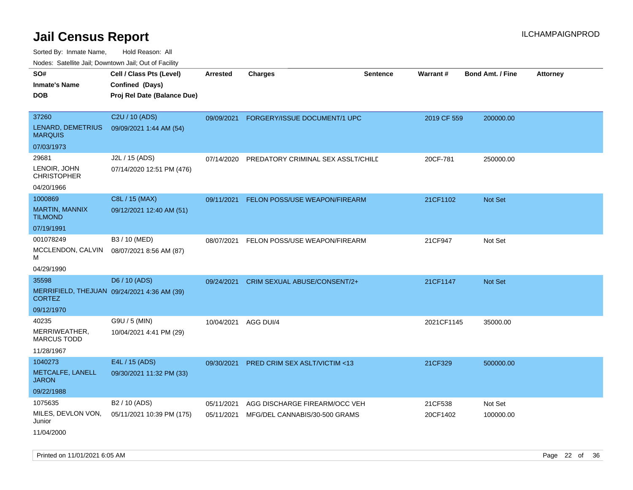Sorted By: Inmate Name, Hold Reason: All Nodes: Satellite Jail; Downtown Jail; Out of Facility

| ivous. Saleling Jali, Downtown Jali, Out of Facility |                                             |                 |                                         |                 |             |                         |                 |
|------------------------------------------------------|---------------------------------------------|-----------------|-----------------------------------------|-----------------|-------------|-------------------------|-----------------|
| SO#                                                  | Cell / Class Pts (Level)                    | <b>Arrested</b> | <b>Charges</b>                          | <b>Sentence</b> | Warrant#    | <b>Bond Amt. / Fine</b> | <b>Attorney</b> |
| <b>Inmate's Name</b>                                 | Confined (Days)                             |                 |                                         |                 |             |                         |                 |
| <b>DOB</b>                                           | Proj Rel Date (Balance Due)                 |                 |                                         |                 |             |                         |                 |
|                                                      |                                             |                 |                                         |                 |             |                         |                 |
| 37260                                                | C <sub>2</sub> U / 10 (ADS)                 | 09/09/2021      | FORGERY/ISSUE DOCUMENT/1 UPC            |                 | 2019 CF 559 | 200000.00               |                 |
| LENARD, DEMETRIUS<br><b>MARQUIS</b>                  | 09/09/2021 1:44 AM (54)                     |                 |                                         |                 |             |                         |                 |
| 07/03/1973                                           |                                             |                 |                                         |                 |             |                         |                 |
| 29681                                                | J2L / 15 (ADS)                              | 07/14/2020      | PREDATORY CRIMINAL SEX ASSLT/CHILD      |                 | 20CF-781    | 250000.00               |                 |
| LENOIR, JOHN<br><b>CHRISTOPHER</b>                   | 07/14/2020 12:51 PM (476)                   |                 |                                         |                 |             |                         |                 |
| 04/20/1966                                           |                                             |                 |                                         |                 |             |                         |                 |
| 1000869                                              | C8L / 15 (MAX)                              | 09/11/2021      | FELON POSS/USE WEAPON/FIREARM           |                 | 21CF1102    | Not Set                 |                 |
| <b>MARTIN, MANNIX</b><br><b>TILMOND</b>              | 09/12/2021 12:40 AM (51)                    |                 |                                         |                 |             |                         |                 |
| 07/19/1991                                           |                                             |                 |                                         |                 |             |                         |                 |
| 001078249                                            | B3 / 10 (MED)                               | 08/07/2021      | FELON POSS/USE WEAPON/FIREARM           |                 | 21CF947     | Not Set                 |                 |
| MCCLENDON, CALVIN<br>м                               | 08/07/2021 8:56 AM (87)                     |                 |                                         |                 |             |                         |                 |
| 04/29/1990                                           |                                             |                 |                                         |                 |             |                         |                 |
| 35598                                                | D6 / 10 (ADS)                               | 09/24/2021      | <b>CRIM SEXUAL ABUSE/CONSENT/2+</b>     |                 | 21CF1147    | Not Set                 |                 |
| <b>CORTEZ</b>                                        | MERRIFIELD, THEJUAN 09/24/2021 4:36 AM (39) |                 |                                         |                 |             |                         |                 |
| 09/12/1970                                           |                                             |                 |                                         |                 |             |                         |                 |
| 40235                                                | G9U / 5 (MIN)                               | 10/04/2021      | AGG DUI/4                               |                 | 2021CF1145  | 35000.00                |                 |
| MERRIWEATHER,<br><b>MARCUS TODD</b>                  | 10/04/2021 4:41 PM (29)                     |                 |                                         |                 |             |                         |                 |
| 11/28/1967                                           |                                             |                 |                                         |                 |             |                         |                 |
| 1040273                                              | E4L / 15 (ADS)                              | 09/30/2021      | <b>PRED CRIM SEX ASLT/VICTIM &lt;13</b> |                 | 21CF329     | 500000.00               |                 |
| METCALFE, LANELL<br><b>JARON</b>                     | 09/30/2021 11:32 PM (33)                    |                 |                                         |                 |             |                         |                 |
| 09/22/1988                                           |                                             |                 |                                         |                 |             |                         |                 |
| 1075635                                              | B2 / 10 (ADS)                               | 05/11/2021      | AGG DISCHARGE FIREARM/OCC VEH           |                 | 21CF538     | Not Set                 |                 |
| MILES, DEVLON VON,<br>Junior                         | 05/11/2021 10:39 PM (175)                   | 05/11/2021      | MFG/DEL CANNABIS/30-500 GRAMS           |                 | 20CF1402    | 100000.00               |                 |
| 11/04/2000                                           |                                             |                 |                                         |                 |             |                         |                 |

Printed on 11/01/2021 6:05 AM Page 22 of 36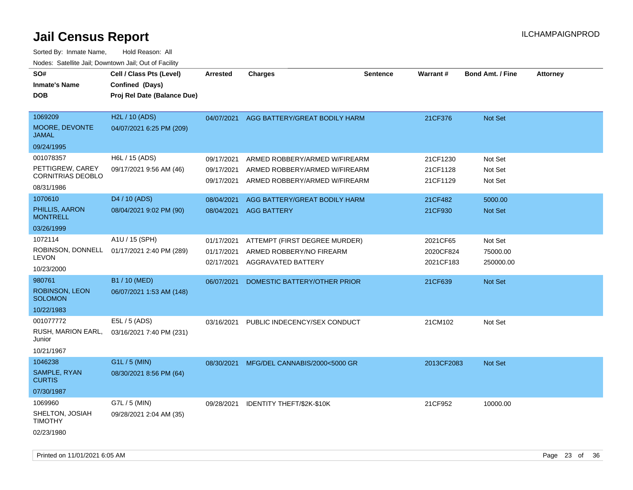| SO#<br><b>Inmate's Name</b><br><b>DOB</b>                                                                               | Cell / Class Pts (Level)<br>Confined (Days)<br>Proj Rel Date (Balance Due)            | Arrested                                                           | <b>Charges</b>                                                                                                                                         | <b>Sentence</b> | Warrant#                                               | <b>Bond Amt. / Fine</b>                             | <b>Attorney</b> |
|-------------------------------------------------------------------------------------------------------------------------|---------------------------------------------------------------------------------------|--------------------------------------------------------------------|--------------------------------------------------------------------------------------------------------------------------------------------------------|-----------------|--------------------------------------------------------|-----------------------------------------------------|-----------------|
| 1069209<br>MOORE, DEVONTE<br><b>JAMAL</b><br>09/24/1995                                                                 | H2L / 10 (ADS)<br>04/07/2021 6:25 PM (209)                                            | 04/07/2021                                                         | AGG BATTERY/GREAT BODILY HARM                                                                                                                          |                 | 21CF376                                                | Not Set                                             |                 |
| 001078357<br>PETTIGREW, CAREY<br><b>CORNITRIAS DEOBLO</b><br>08/31/1986<br>1070610<br>PHILLIS, AARON<br><b>MONTRELL</b> | H6L / 15 (ADS)<br>09/17/2021 9:56 AM (46)<br>D4 / 10 (ADS)<br>08/04/2021 9:02 PM (90) | 09/17/2021<br>09/17/2021<br>09/17/2021<br>08/04/2021<br>08/04/2021 | ARMED ROBBERY/ARMED W/FIREARM<br>ARMED ROBBERY/ARMED W/FIREARM<br>ARMED ROBBERY/ARMED W/FIREARM<br>AGG BATTERY/GREAT BODILY HARM<br><b>AGG BATTERY</b> |                 | 21CF1230<br>21CF1128<br>21CF1129<br>21CF482<br>21CF930 | Not Set<br>Not Set<br>Not Set<br>5000.00<br>Not Set |                 |
| 03/26/1999<br>1072114<br>ROBINSON, DONNELL<br><b>LEVON</b><br>10/23/2000                                                | A1U / 15 (SPH)<br>01/17/2021 2:40 PM (289)                                            | 01/17/2021<br>01/17/2021<br>02/17/2021                             | ATTEMPT (FIRST DEGREE MURDER)<br>ARMED ROBBERY/NO FIREARM<br>AGGRAVATED BATTERY                                                                        |                 | 2021CF65<br>2020CF824<br>2021CF183                     | Not Set<br>75000.00<br>250000.00                    |                 |
| 980761<br><b>ROBINSON, LEON</b><br><b>SOLOMON</b><br>10/22/1983                                                         | B1 / 10 (MED)<br>06/07/2021 1:53 AM (148)                                             | 06/07/2021                                                         | DOMESTIC BATTERY/OTHER PRIOR                                                                                                                           |                 | 21CF639                                                | Not Set                                             |                 |
| 001077772<br>RUSH, MARION EARL,<br>Junior<br>10/21/1967                                                                 | E5L / 5 (ADS)<br>03/16/2021 7:40 PM (231)                                             |                                                                    | 03/16/2021 PUBLIC INDECENCY/SEX CONDUCT                                                                                                                |                 | 21CM102                                                | Not Set                                             |                 |
| 1046238<br>SAMPLE, RYAN<br><b>CURTIS</b><br>07/30/1987                                                                  | G1L / 5 (MIN)<br>08/30/2021 8:56 PM (64)                                              | 08/30/2021                                                         | MFG/DEL CANNABIS/2000<5000 GR                                                                                                                          |                 | 2013CF2083                                             | Not Set                                             |                 |
| 1069960<br>SHELTON, JOSIAH<br><b>TIMOTHY</b><br>02/23/1980                                                              | G7L / 5 (MIN)<br>09/28/2021 2:04 AM (35)                                              | 09/28/2021                                                         | IDENTITY THEFT/\$2K-\$10K                                                                                                                              |                 | 21CF952                                                | 10000.00                                            |                 |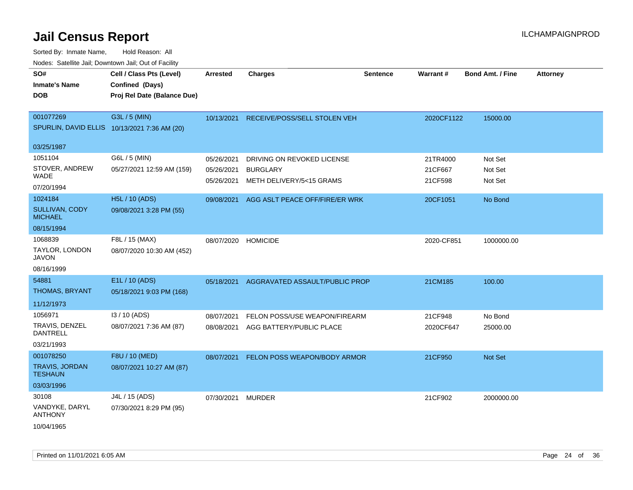| ivouss. Satellite Jali, Downtown Jali, Out of Facility |                                              |            |                                         |                 |                 |                         |                 |
|--------------------------------------------------------|----------------------------------------------|------------|-----------------------------------------|-----------------|-----------------|-------------------------|-----------------|
| SO#                                                    | Cell / Class Pts (Level)                     | Arrested   | <b>Charges</b>                          | <b>Sentence</b> | <b>Warrant#</b> | <b>Bond Amt. / Fine</b> | <b>Attorney</b> |
| Inmate's Name                                          | Confined (Days)                              |            |                                         |                 |                 |                         |                 |
| <b>DOB</b>                                             | Proj Rel Date (Balance Due)                  |            |                                         |                 |                 |                         |                 |
|                                                        |                                              |            |                                         |                 |                 |                         |                 |
| 001077269                                              | G3L / 5 (MIN)                                |            | 10/13/2021 RECEIVE/POSS/SELL STOLEN VEH |                 | 2020CF1122      | 15000.00                |                 |
|                                                        | SPURLIN, DAVID ELLIS 10/13/2021 7:36 AM (20) |            |                                         |                 |                 |                         |                 |
|                                                        |                                              |            |                                         |                 |                 |                         |                 |
| 03/25/1987                                             |                                              |            |                                         |                 |                 |                         |                 |
| 1051104                                                | G6L / 5 (MIN)                                | 05/26/2021 | DRIVING ON REVOKED LICENSE              |                 | 21TR4000        | Not Set                 |                 |
| STOVER, ANDREW<br>WADE                                 | 05/27/2021 12:59 AM (159)                    | 05/26/2021 | <b>BURGLARY</b>                         |                 | 21CF667         | Not Set                 |                 |
|                                                        |                                              | 05/26/2021 | METH DELIVERY/5<15 GRAMS                |                 | 21CF598         | Not Set                 |                 |
| 07/20/1994                                             |                                              |            |                                         |                 |                 |                         |                 |
| 1024184                                                | <b>H5L / 10 (ADS)</b>                        | 09/08/2021 | AGG ASLT PEACE OFF/FIRE/ER WRK          |                 | 20CF1051        | No Bond                 |                 |
| <b>SULLIVAN, CODY</b><br><b>MICHAEL</b>                | 09/08/2021 3:28 PM (55)                      |            |                                         |                 |                 |                         |                 |
| 08/15/1994                                             |                                              |            |                                         |                 |                 |                         |                 |
| 1068839                                                | F8L / 15 (MAX)                               | 08/07/2020 | <b>HOMICIDE</b>                         |                 | 2020-CF851      | 1000000.00              |                 |
| TAYLOR, LONDON                                         | 08/07/2020 10:30 AM (452)                    |            |                                         |                 |                 |                         |                 |
| JAVON                                                  |                                              |            |                                         |                 |                 |                         |                 |
| 08/16/1999                                             |                                              |            |                                         |                 |                 |                         |                 |
| 54881                                                  | E1L / 10 (ADS)                               | 05/18/2021 | AGGRAVATED ASSAULT/PUBLIC PROP          |                 | 21CM185         | 100.00                  |                 |
| THOMAS, BRYANT                                         | 05/18/2021 9:03 PM (168)                     |            |                                         |                 |                 |                         |                 |
| 11/12/1973                                             |                                              |            |                                         |                 |                 |                         |                 |
| 1056971                                                | I3 / 10 (ADS)                                | 08/07/2021 | FELON POSS/USE WEAPON/FIREARM           |                 | 21CF948         | No Bond                 |                 |
| TRAVIS, DENZEL                                         | 08/07/2021 7:36 AM (87)                      | 08/08/2021 | AGG BATTERY/PUBLIC PLACE                |                 | 2020CF647       | 25000.00                |                 |
| DANTRELL                                               |                                              |            |                                         |                 |                 |                         |                 |
| 03/21/1993                                             |                                              |            |                                         |                 |                 |                         |                 |
| 001078250                                              | F8U / 10 (MED)                               | 08/07/2021 | FELON POSS WEAPON/BODY ARMOR            |                 | 21CF950         | <b>Not Set</b>          |                 |
| <b>TRAVIS, JORDAN</b><br>TESHAUN                       | 08/07/2021 10:27 AM (87)                     |            |                                         |                 |                 |                         |                 |
| 03/03/1996                                             |                                              |            |                                         |                 |                 |                         |                 |
| 30108                                                  | J4L / 15 (ADS)                               | 07/30/2021 | MURDER                                  |                 | 21CF902         | 2000000.00              |                 |
| VANDYKE, DARYL                                         | 07/30/2021 8:29 PM (95)                      |            |                                         |                 |                 |                         |                 |
| <b>ANTHONY</b>                                         |                                              |            |                                         |                 |                 |                         |                 |
| 10/04/1965                                             |                                              |            |                                         |                 |                 |                         |                 |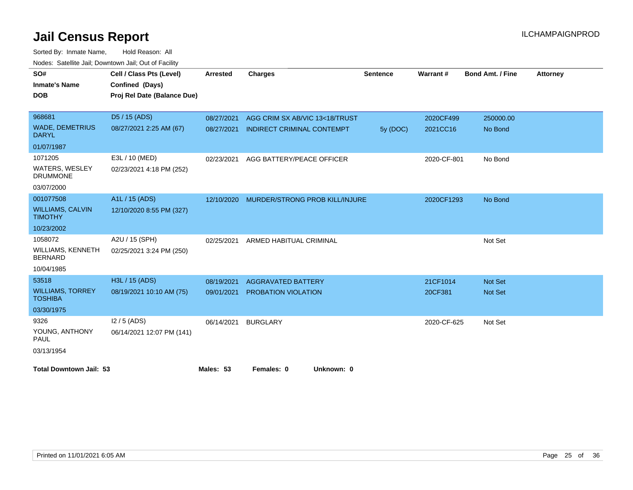| SO#                                        | Cell / Class Pts (Level)    | <b>Arrested</b> | <b>Charges</b>                    | <b>Sentence</b> | <b>Warrant#</b> | <b>Bond Amt. / Fine</b> | <b>Attorney</b> |
|--------------------------------------------|-----------------------------|-----------------|-----------------------------------|-----------------|-----------------|-------------------------|-----------------|
| <b>Inmate's Name</b>                       | Confined (Days)             |                 |                                   |                 |                 |                         |                 |
| <b>DOB</b>                                 | Proj Rel Date (Balance Due) |                 |                                   |                 |                 |                         |                 |
|                                            |                             |                 |                                   |                 |                 |                         |                 |
| 968681                                     | D5 / 15 (ADS)               | 08/27/2021      | AGG CRIM SX AB/VIC 13<18/TRUST    |                 | 2020CF499       | 250000.00               |                 |
| <b>WADE, DEMETRIUS</b><br><b>DARYL</b>     | 08/27/2021 2:25 AM (67)     | 08/27/2021      | <b>INDIRECT CRIMINAL CONTEMPT</b> | 5y (DOC)        | 2021CC16        | No Bond                 |                 |
| 01/07/1987                                 |                             |                 |                                   |                 |                 |                         |                 |
| 1071205                                    | E3L / 10 (MED)              | 02/23/2021      | AGG BATTERY/PEACE OFFICER         |                 | 2020-CF-801     | No Bond                 |                 |
| <b>WATERS, WESLEY</b><br><b>DRUMMONE</b>   | 02/23/2021 4:18 PM (252)    |                 |                                   |                 |                 |                         |                 |
| 03/07/2000                                 |                             |                 |                                   |                 |                 |                         |                 |
| 001077508                                  | A1L / 15 (ADS)              | 12/10/2020      | MURDER/STRONG PROB KILL/INJURE    |                 | 2020CF1293      | No Bond                 |                 |
| <b>WILLIAMS, CALVIN</b><br><b>TIMOTHY</b>  | 12/10/2020 8:55 PM (327)    |                 |                                   |                 |                 |                         |                 |
| 10/23/2002                                 |                             |                 |                                   |                 |                 |                         |                 |
| 1058072                                    | A2U / 15 (SPH)              | 02/25/2021      | ARMED HABITUAL CRIMINAL           |                 |                 | Not Set                 |                 |
| <b>WILLIAMS, KENNETH</b><br><b>BERNARD</b> | 02/25/2021 3:24 PM (250)    |                 |                                   |                 |                 |                         |                 |
| 10/04/1985                                 |                             |                 |                                   |                 |                 |                         |                 |
| 53518                                      | H3L / 15 (ADS)              | 08/19/2021      | <b>AGGRAVATED BATTERY</b>         |                 | 21CF1014        | Not Set                 |                 |
| <b>WILLIAMS, TORREY</b><br><b>TOSHIBA</b>  | 08/19/2021 10:10 AM (75)    | 09/01/2021      | PROBATION VIOLATION               |                 | 20CF381         | Not Set                 |                 |
| 03/30/1975                                 |                             |                 |                                   |                 |                 |                         |                 |
| 9326                                       | $12/5$ (ADS)                | 06/14/2021      | <b>BURGLARY</b>                   |                 | 2020-CF-625     | Not Set                 |                 |
| YOUNG, ANTHONY<br>PAUL                     | 06/14/2021 12:07 PM (141)   |                 |                                   |                 |                 |                         |                 |
| 03/13/1954                                 |                             |                 |                                   |                 |                 |                         |                 |
| <b>Total Downtown Jail: 53</b>             |                             | Males: 53       | Females: 0<br>Unknown: 0          |                 |                 |                         |                 |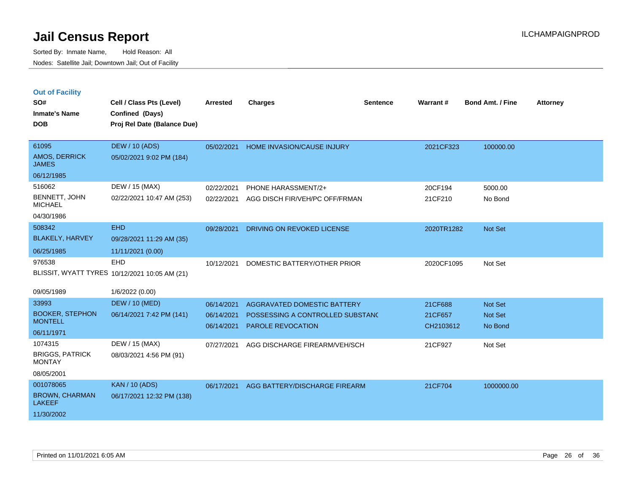|  | <b>Out of Facility</b> |  |
|--|------------------------|--|

| SO#<br><b>Inmate's Name</b><br><b>DOB</b>                         | Cell / Class Pts (Level)<br>Confined (Days)<br>Proj Rel Date (Balance Due)     | <b>Arrested</b>                        | <b>Charges</b>                                                                              | <b>Sentence</b> | Warrant#                        | <b>Bond Amt. / Fine</b>       | <b>Attorney</b> |
|-------------------------------------------------------------------|--------------------------------------------------------------------------------|----------------------------------------|---------------------------------------------------------------------------------------------|-----------------|---------------------------------|-------------------------------|-----------------|
| 61095<br>AMOS, DERRICK<br><b>JAMES</b><br>06/12/1985              | <b>DEW / 10 (ADS)</b><br>05/02/2021 9:02 PM (184)                              | 05/02/2021                             | <b>HOME INVASION/CAUSE INJURY</b>                                                           |                 | 2021CF323                       | 100000.00                     |                 |
| 516062<br>BENNETT, JOHN<br><b>MICHAEL</b><br>04/30/1986           | DEW / 15 (MAX)<br>02/22/2021 10:47 AM (253)                                    | 02/22/2021<br>02/22/2021               | PHONE HARASSMENT/2+<br>AGG DISCH FIR/VEH/PC OFF/FRMAN                                       |                 | 20CF194<br>21CF210              | 5000.00<br>No Bond            |                 |
| 508342<br><b>BLAKELY, HARVEY</b><br>06/25/1985                    | <b>EHD</b><br>09/28/2021 11:29 AM (35)<br>11/11/2021 (0.00)                    | 09/28/2021                             | DRIVING ON REVOKED LICENSE                                                                  |                 | 2020TR1282                      | Not Set                       |                 |
| 976538<br>09/05/1989                                              | <b>EHD</b><br>BLISSIT, WYATT TYRES 10/12/2021 10:05 AM (21)<br>1/6/2022 (0.00) | 10/12/2021                             | DOMESTIC BATTERY/OTHER PRIOR                                                                |                 | 2020CF1095                      | Not Set                       |                 |
| 33993<br><b>BOOKER, STEPHON</b><br><b>MONTELL</b><br>06/11/1971   | <b>DEW / 10 (MED)</b><br>06/14/2021 7:42 PM (141)                              | 06/14/2021<br>06/14/2021<br>06/14/2021 | <b>AGGRAVATED DOMESTIC BATTERY</b><br>POSSESSING A CONTROLLED SUBSTANC<br>PAROLE REVOCATION |                 | 21CF688<br>21CF657<br>CH2103612 | Not Set<br>Not Set<br>No Bond |                 |
| 1074315<br><b>BRIGGS, PATRICK</b><br><b>MONTAY</b><br>08/05/2001  | DEW / 15 (MAX)<br>08/03/2021 4:56 PM (91)                                      | 07/27/2021                             | AGG DISCHARGE FIREARM/VEH/SCH                                                               |                 | 21CF927                         | Not Set                       |                 |
| 001078065<br><b>BROWN, CHARMAN</b><br><b>LAKEEF</b><br>11/30/2002 | <b>KAN / 10 (ADS)</b><br>06/17/2021 12:32 PM (138)                             | 06/17/2021                             | AGG BATTERY/DISCHARGE FIREARM                                                               |                 | 21CF704                         | 1000000.00                    |                 |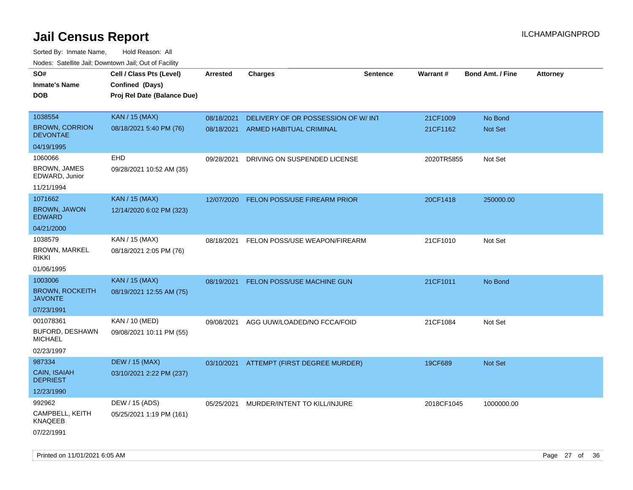| roaco. Catolino cali, Downtown cali, Out of Fability |                             |                 |                                          |                 |            |                         |                 |
|------------------------------------------------------|-----------------------------|-----------------|------------------------------------------|-----------------|------------|-------------------------|-----------------|
| SO#                                                  | Cell / Class Pts (Level)    | <b>Arrested</b> | <b>Charges</b>                           | <b>Sentence</b> | Warrant#   | <b>Bond Amt. / Fine</b> | <b>Attorney</b> |
| <b>Inmate's Name</b>                                 | Confined (Days)             |                 |                                          |                 |            |                         |                 |
| DOB                                                  | Proj Rel Date (Balance Due) |                 |                                          |                 |            |                         |                 |
|                                                      |                             |                 |                                          |                 |            |                         |                 |
| 1038554                                              | <b>KAN / 15 (MAX)</b>       | 08/18/2021      | DELIVERY OF OR POSSESSION OF W/INT       |                 | 21CF1009   | No Bond                 |                 |
| <b>BROWN, CORRION</b><br><b>DEVONTAE</b>             | 08/18/2021 5:40 PM (76)     | 08/18/2021      | <b>ARMED HABITUAL CRIMINAL</b>           |                 | 21CF1162   | Not Set                 |                 |
| 04/19/1995                                           |                             |                 |                                          |                 |            |                         |                 |
| 1060066                                              | EHD                         | 09/28/2021      | DRIVING ON SUSPENDED LICENSE             |                 | 2020TR5855 | Not Set                 |                 |
| <b>BROWN, JAMES</b><br>EDWARD, Junior                | 09/28/2021 10:52 AM (35)    |                 |                                          |                 |            |                         |                 |
| 11/21/1994                                           |                             |                 |                                          |                 |            |                         |                 |
| 1071662                                              | <b>KAN / 15 (MAX)</b>       | 12/07/2020      | FELON POSS/USE FIREARM PRIOR             |                 | 20CF1418   | 250000.00               |                 |
| <b>BROWN, JAWON</b><br><b>EDWARD</b>                 | 12/14/2020 6:02 PM (323)    |                 |                                          |                 |            |                         |                 |
| 04/21/2000                                           |                             |                 |                                          |                 |            |                         |                 |
| 1038579                                              | KAN / 15 (MAX)              | 08/18/2021      | FELON POSS/USE WEAPON/FIREARM            |                 | 21CF1010   | Not Set                 |                 |
| <b>BROWN, MARKEL</b><br>rikki                        | 08/18/2021 2:05 PM (76)     |                 |                                          |                 |            |                         |                 |
| 01/06/1995                                           |                             |                 |                                          |                 |            |                         |                 |
| 1003006                                              | <b>KAN / 15 (MAX)</b>       | 08/19/2021      | FELON POSS/USE MACHINE GUN               |                 | 21CF1011   | No Bond                 |                 |
| <b>BROWN, ROCKEITH</b><br><b>JAVONTE</b>             | 08/19/2021 12:55 AM (75)    |                 |                                          |                 |            |                         |                 |
| 07/23/1991                                           |                             |                 |                                          |                 |            |                         |                 |
| 001078361                                            | KAN / 10 (MED)              | 09/08/2021      | AGG UUW/LOADED/NO FCCA/FOID              |                 | 21CF1084   | Not Set                 |                 |
| BUFORD, DESHAWN<br><b>MICHAEL</b>                    | 09/08/2021 10:11 PM (55)    |                 |                                          |                 |            |                         |                 |
| 02/23/1997                                           |                             |                 |                                          |                 |            |                         |                 |
| 987334                                               | <b>DEW / 15 (MAX)</b>       |                 | 03/10/2021 ATTEMPT (FIRST DEGREE MURDER) |                 | 19CF689    | Not Set                 |                 |
| CAIN, ISAIAH<br><b>DEPRIEST</b>                      | 03/10/2021 2:22 PM (237)    |                 |                                          |                 |            |                         |                 |
| 12/23/1990                                           |                             |                 |                                          |                 |            |                         |                 |
| 992962                                               | DEW / 15 (ADS)              | 05/25/2021      | MURDER/INTENT TO KILL/INJURE             |                 | 2018CF1045 | 1000000.00              |                 |
| CAMPBELL, KEITH<br>KNAQEEB                           | 05/25/2021 1:19 PM (161)    |                 |                                          |                 |            |                         |                 |
| 07/22/1991                                           |                             |                 |                                          |                 |            |                         |                 |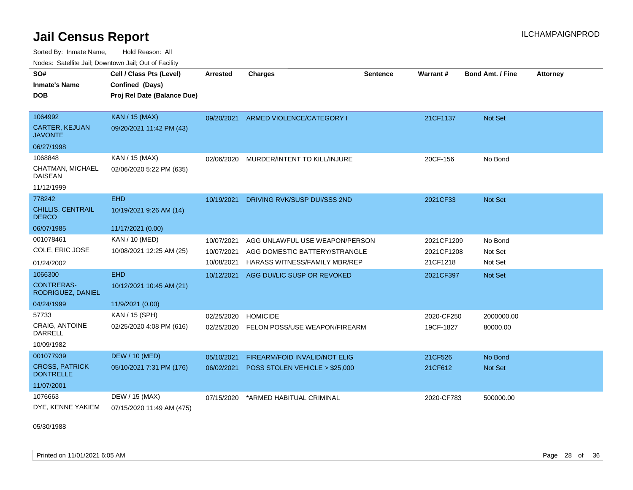Sorted By: Inmate Name, Hold Reason: All Nodes: Satellite Jail; Downtown Jail; Out of Facility

| SO#<br><b>Inmate's Name</b><br>DOB        | Cell / Class Pts (Level)<br>Confined (Days)<br>Proj Rel Date (Balance Due) | <b>Arrested</b> | <b>Charges</b>                 | <b>Sentence</b> | Warrant#   | <b>Bond Amt. / Fine</b> | <b>Attorney</b> |
|-------------------------------------------|----------------------------------------------------------------------------|-----------------|--------------------------------|-----------------|------------|-------------------------|-----------------|
|                                           |                                                                            |                 |                                |                 |            |                         |                 |
| 1064992                                   | <b>KAN / 15 (MAX)</b>                                                      | 09/20/2021      | ARMED VIOLENCE/CATEGORY I      |                 | 21CF1137   | Not Set                 |                 |
| <b>CARTER, KEJUAN</b><br><b>JAVONTE</b>   | 09/20/2021 11:42 PM (43)                                                   |                 |                                |                 |            |                         |                 |
| 06/27/1998                                |                                                                            |                 |                                |                 |            |                         |                 |
| 1068848                                   | KAN / 15 (MAX)                                                             | 02/06/2020      | MURDER/INTENT TO KILL/INJURE   |                 | 20CF-156   | No Bond                 |                 |
| CHATMAN, MICHAEL<br><b>DAISEAN</b>        | 02/06/2020 5:22 PM (635)                                                   |                 |                                |                 |            |                         |                 |
| 11/12/1999                                |                                                                            |                 |                                |                 |            |                         |                 |
| 778242                                    | <b>EHD</b>                                                                 | 10/19/2021      | DRIVING RVK/SUSP DUI/SSS 2ND   |                 | 2021CF33   | <b>Not Set</b>          |                 |
| CHILLIS, CENTRAIL<br><b>DERCO</b>         | 10/19/2021 9:26 AM (14)                                                    |                 |                                |                 |            |                         |                 |
| 06/07/1985                                | 11/17/2021 (0.00)                                                          |                 |                                |                 |            |                         |                 |
| 001078461                                 | <b>KAN / 10 (MED)</b>                                                      | 10/07/2021      | AGG UNLAWFUL USE WEAPON/PERSON |                 | 2021CF1209 | No Bond                 |                 |
| COLE, ERIC JOSE                           | 10/08/2021 12:25 AM (25)                                                   | 10/07/2021      | AGG DOMESTIC BATTERY/STRANGLE  |                 | 2021CF1208 | Not Set                 |                 |
| 01/24/2002                                |                                                                            | 10/08/2021      | HARASS WITNESS/FAMILY MBR/REP  |                 | 21CF1218   | Not Set                 |                 |
| 1066300                                   | <b>EHD</b>                                                                 | 10/12/2021      | AGG DUI/LIC SUSP OR REVOKED    |                 | 2021CF397  | Not Set                 |                 |
| <b>CONTRERAS-</b><br>RODRIGUEZ, DANIEL    | 10/12/2021 10:45 AM (21)                                                   |                 |                                |                 |            |                         |                 |
| 04/24/1999                                | 11/9/2021 (0.00)                                                           |                 |                                |                 |            |                         |                 |
| 57733                                     | KAN / 15 (SPH)                                                             | 02/25/2020      | <b>HOMICIDE</b>                |                 | 2020-CF250 | 2000000.00              |                 |
| <b>CRAIG, ANTOINE</b><br>DARRELL          | 02/25/2020 4:08 PM (616)                                                   | 02/25/2020      | FELON POSS/USE WEAPON/FIREARM  |                 | 19CF-1827  | 80000.00                |                 |
| 10/09/1982                                |                                                                            |                 |                                |                 |            |                         |                 |
| 001077939                                 | <b>DEW / 10 (MED)</b>                                                      | 05/10/2021      | FIREARM/FOID INVALID/NOT ELIG  |                 | 21CF526    | No Bond                 |                 |
| <b>CROSS, PATRICK</b><br><b>DONTRELLE</b> | 05/10/2021 7:31 PM (176)                                                   | 06/02/2021      | POSS STOLEN VEHICLE > \$25,000 |                 | 21CF612    | Not Set                 |                 |
| 11/07/2001                                |                                                                            |                 |                                |                 |            |                         |                 |
| 1076663                                   | DEW / 15 (MAX)                                                             | 07/15/2020      | *ARMED HABITUAL CRIMINAL       |                 | 2020-CF783 | 500000.00               |                 |
| DYE, KENNE YAKIEM                         | 07/15/2020 11:49 AM (475)                                                  |                 |                                |                 |            |                         |                 |

05/30/1988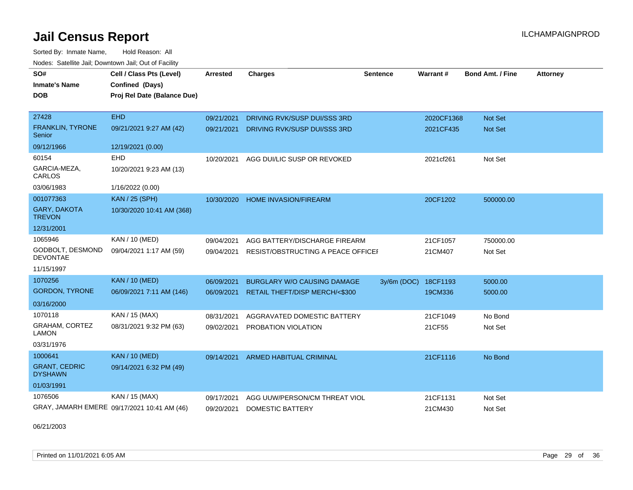Sorted By: Inmate Name, Hold Reason: All Nodes: Satellite Jail; Downtown Jail; Out of Facility

| SO#<br><b>Inmate's Name</b>            | Cell / Class Pts (Level)<br>Confined (Days) | Arrested   | <b>Charges</b>                     | <b>Sentence</b> | Warrant#   | <b>Bond Amt. / Fine</b> | <b>Attorney</b> |
|----------------------------------------|---------------------------------------------|------------|------------------------------------|-----------------|------------|-------------------------|-----------------|
| <b>DOB</b>                             | Proj Rel Date (Balance Due)                 |            |                                    |                 |            |                         |                 |
|                                        |                                             |            |                                    |                 |            |                         |                 |
| 27428                                  | <b>EHD</b>                                  | 09/21/2021 | DRIVING RVK/SUSP DUI/SSS 3RD       |                 | 2020CF1368 | <b>Not Set</b>          |                 |
| <b>FRANKLIN, TYRONE</b><br>Senior      | 09/21/2021 9:27 AM (42)                     | 09/21/2021 | DRIVING RVK/SUSP DUI/SSS 3RD       |                 | 2021CF435  | <b>Not Set</b>          |                 |
| 09/12/1966                             | 12/19/2021 (0.00)                           |            |                                    |                 |            |                         |                 |
| 60154                                  | <b>EHD</b>                                  | 10/20/2021 | AGG DUI/LIC SUSP OR REVOKED        |                 | 2021cf261  | Not Set                 |                 |
| GARCIA-MEZA,<br>CARLOS                 | 10/20/2021 9:23 AM (13)                     |            |                                    |                 |            |                         |                 |
| 03/06/1983                             | 1/16/2022 (0.00)                            |            |                                    |                 |            |                         |                 |
| 001077363                              | <b>KAN / 25 (SPH)</b>                       | 10/30/2020 | <b>HOME INVASION/FIREARM</b>       |                 | 20CF1202   | 500000.00               |                 |
| GARY, DAKOTA<br><b>TREVON</b>          | 10/30/2020 10:41 AM (368)                   |            |                                    |                 |            |                         |                 |
| 12/31/2001                             |                                             |            |                                    |                 |            |                         |                 |
| 1065946                                | KAN / 10 (MED)                              | 09/04/2021 | AGG BATTERY/DISCHARGE FIREARM      |                 | 21CF1057   | 750000.00               |                 |
| GODBOLT, DESMOND<br><b>DEVONTAE</b>    | 09/04/2021 1:17 AM (59)                     | 09/04/2021 | RESIST/OBSTRUCTING A PEACE OFFICEF |                 | 21CM407    | Not Set                 |                 |
| 11/15/1997                             |                                             |            |                                    |                 |            |                         |                 |
| 1070256                                | <b>KAN / 10 (MED)</b>                       | 06/09/2021 | <b>BURGLARY W/O CAUSING DAMAGE</b> | 3y/6m (DOC)     | 18CF1193   | 5000.00                 |                 |
| <b>GORDON, TYRONE</b>                  | 06/09/2021 7:11 AM (146)                    | 06/09/2021 | RETAIL THEFT/DISP MERCH/<\$300     |                 | 19CM336    | 5000.00                 |                 |
| 03/16/2000                             |                                             |            |                                    |                 |            |                         |                 |
| 1070118                                | KAN / 15 (MAX)                              | 08/31/2021 | AGGRAVATED DOMESTIC BATTERY        |                 | 21CF1049   | No Bond                 |                 |
| GRAHAM, CORTEZ<br><b>LAMON</b>         | 08/31/2021 9:32 PM (63)                     | 09/02/2021 | PROBATION VIOLATION                |                 | 21CF55     | Not Set                 |                 |
| 03/31/1976                             |                                             |            |                                    |                 |            |                         |                 |
| 1000641                                | <b>KAN / 10 (MED)</b>                       | 09/14/2021 | ARMED HABITUAL CRIMINAL            |                 | 21CF1116   | No Bond                 |                 |
| <b>GRANT, CEDRIC</b><br><b>DYSHAWN</b> | 09/14/2021 6:32 PM (49)                     |            |                                    |                 |            |                         |                 |
| 01/03/1991                             |                                             |            |                                    |                 |            |                         |                 |
| 1076506                                | KAN / 15 (MAX)                              | 09/17/2021 | AGG UUW/PERSON/CM THREAT VIOL      |                 | 21CF1131   | Not Set                 |                 |
|                                        | GRAY, JAMARH EMERE 09/17/2021 10:41 AM (46) | 09/20/2021 | <b>DOMESTIC BATTERY</b>            |                 | 21CM430    | Not Set                 |                 |

06/21/2003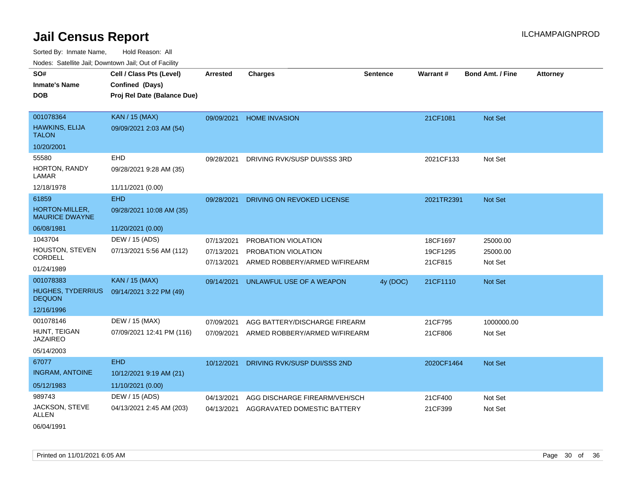| SO#                                       | Cell / Class Pts (Level)    | Arrested   | <b>Charges</b>                | <b>Sentence</b> | Warrant#   | <b>Bond Amt. / Fine</b> | <b>Attorney</b> |
|-------------------------------------------|-----------------------------|------------|-------------------------------|-----------------|------------|-------------------------|-----------------|
| <b>Inmate's Name</b>                      | Confined (Days)             |            |                               |                 |            |                         |                 |
| <b>DOB</b>                                | Proj Rel Date (Balance Due) |            |                               |                 |            |                         |                 |
|                                           |                             |            |                               |                 |            |                         |                 |
| 001078364                                 | <b>KAN / 15 (MAX)</b>       | 09/09/2021 | <b>HOME INVASION</b>          |                 | 21CF1081   | Not Set                 |                 |
| <b>HAWKINS, ELIJA</b><br><b>TALON</b>     | 09/09/2021 2:03 AM (54)     |            |                               |                 |            |                         |                 |
| 10/20/2001                                |                             |            |                               |                 |            |                         |                 |
| 55580                                     | EHD                         | 09/28/2021 | DRIVING RVK/SUSP DUI/SSS 3RD  |                 | 2021CF133  | Not Set                 |                 |
| HORTON, RANDY<br>LAMAR                    | 09/28/2021 9:28 AM (35)     |            |                               |                 |            |                         |                 |
| 12/18/1978                                | 11/11/2021 (0.00)           |            |                               |                 |            |                         |                 |
| 61859                                     | <b>EHD</b>                  | 09/28/2021 | DRIVING ON REVOKED LICENSE    |                 | 2021TR2391 | Not Set                 |                 |
| HORTON-MILLER,<br><b>MAURICE DWAYNE</b>   | 09/28/2021 10:08 AM (35)    |            |                               |                 |            |                         |                 |
| 06/08/1981                                | 11/20/2021 (0.00)           |            |                               |                 |            |                         |                 |
| 1043704                                   | DEW / 15 (ADS)              | 07/13/2021 | PROBATION VIOLATION           |                 | 18CF1697   | 25000.00                |                 |
| HOUSTON, STEVEN                           | 07/13/2021 5:56 AM (112)    | 07/13/2021 | PROBATION VIOLATION           |                 | 19CF1295   | 25000.00                |                 |
| CORDELL                                   |                             | 07/13/2021 | ARMED ROBBERY/ARMED W/FIREARM |                 | 21CF815    | Not Set                 |                 |
| 01/24/1989                                |                             |            |                               |                 |            |                         |                 |
| 001078383                                 | <b>KAN / 15 (MAX)</b>       | 09/14/2021 | UNLAWFUL USE OF A WEAPON      | 4y (DOC)        | 21CF1110   | Not Set                 |                 |
| <b>HUGHES, TYDERRIUS</b><br><b>DEQUON</b> | 09/14/2021 3:22 PM (49)     |            |                               |                 |            |                         |                 |
| 12/16/1996                                |                             |            |                               |                 |            |                         |                 |
| 001078146                                 | DEW / 15 (MAX)              | 07/09/2021 | AGG BATTERY/DISCHARGE FIREARM |                 | 21CF795    | 1000000.00              |                 |
| HUNT, TEIGAN<br><b>JAZAIREO</b>           | 07/09/2021 12:41 PM (116)   | 07/09/2021 | ARMED ROBBERY/ARMED W/FIREARM |                 | 21CF806    | Not Set                 |                 |
| 05/14/2003                                |                             |            |                               |                 |            |                         |                 |
| 67077                                     | <b>EHD</b>                  | 10/12/2021 | DRIVING RVK/SUSP DUI/SSS 2ND  |                 | 2020CF1464 | <b>Not Set</b>          |                 |
| <b>INGRAM, ANTOINE</b>                    | 10/12/2021 9:19 AM (21)     |            |                               |                 |            |                         |                 |
| 05/12/1983                                | 11/10/2021 (0.00)           |            |                               |                 |            |                         |                 |
| 989743                                    | DEW / 15 (ADS)              | 04/13/2021 | AGG DISCHARGE FIREARM/VEH/SCH |                 | 21CF400    | Not Set                 |                 |
| JACKSON, STEVE<br>ALLEN                   | 04/13/2021 2:45 AM (203)    | 04/13/2021 | AGGRAVATED DOMESTIC BATTERY   |                 | 21CF399    | Not Set                 |                 |
| 06/04/1991                                |                             |            |                               |                 |            |                         |                 |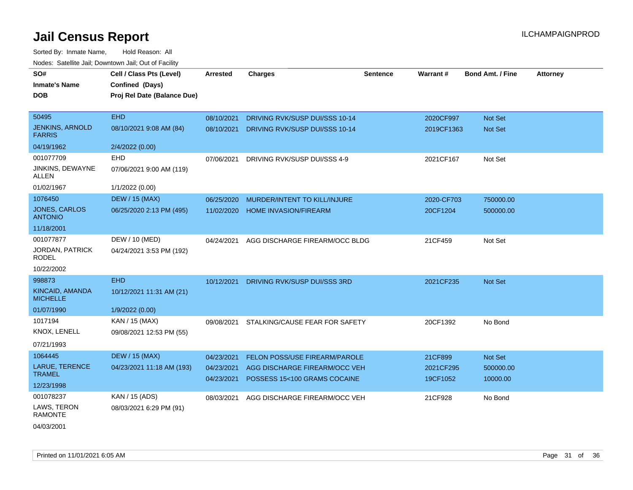| SO#                                     | Cell / Class Pts (Level)    | Arrested                 | <b>Charges</b>                                                | <b>Sentence</b> | Warrant#              | <b>Bond Amt. / Fine</b> | <b>Attorney</b> |
|-----------------------------------------|-----------------------------|--------------------------|---------------------------------------------------------------|-----------------|-----------------------|-------------------------|-----------------|
| <b>Inmate's Name</b>                    | Confined (Days)             |                          |                                                               |                 |                       |                         |                 |
| <b>DOB</b>                              | Proj Rel Date (Balance Due) |                          |                                                               |                 |                       |                         |                 |
|                                         |                             |                          |                                                               |                 |                       |                         |                 |
| 50495                                   | <b>EHD</b>                  | 08/10/2021               | DRIVING RVK/SUSP DUI/SSS 10-14                                |                 | 2020CF997             | Not Set                 |                 |
| <b>JENKINS, ARNOLD</b><br><b>FARRIS</b> | 08/10/2021 9:08 AM (84)     | 08/10/2021               | DRIVING RVK/SUSP DUI/SSS 10-14                                |                 | 2019CF1363            | Not Set                 |                 |
| 04/19/1962                              | 2/4/2022 (0.00)             |                          |                                                               |                 |                       |                         |                 |
| 001077709                               | EHD                         | 07/06/2021               | DRIVING RVK/SUSP DUI/SSS 4-9                                  |                 | 2021CF167             | Not Set                 |                 |
| JINKINS, DEWAYNE<br><b>ALLEN</b>        | 07/06/2021 9:00 AM (119)    |                          |                                                               |                 |                       |                         |                 |
| 01/02/1967                              | 1/1/2022 (0.00)             |                          |                                                               |                 |                       |                         |                 |
| 1076450                                 | <b>DEW / 15 (MAX)</b>       | 06/25/2020               | MURDER/INTENT TO KILL/INJURE                                  |                 | 2020-CF703            | 750000.00               |                 |
| JONES, CARLOS<br><b>ANTONIO</b>         | 06/25/2020 2:13 PM (495)    | 11/02/2020               | <b>HOME INVASION/FIREARM</b>                                  |                 | 20CF1204              | 500000.00               |                 |
| 11/18/2001                              |                             |                          |                                                               |                 |                       |                         |                 |
| 001077877                               | DEW / 10 (MED)              | 04/24/2021               | AGG DISCHARGE FIREARM/OCC BLDG                                |                 | 21CF459               | Not Set                 |                 |
| <b>JORDAN, PATRICK</b><br><b>RODEL</b>  | 04/24/2021 3:53 PM (192)    |                          |                                                               |                 |                       |                         |                 |
| 10/22/2002                              |                             |                          |                                                               |                 |                       |                         |                 |
| 998873                                  | <b>EHD</b>                  | 10/12/2021               | DRIVING RVK/SUSP DUI/SSS 3RD                                  |                 | 2021CF235             | Not Set                 |                 |
| KINCAID, AMANDA<br><b>MICHELLE</b>      | 10/12/2021 11:31 AM (21)    |                          |                                                               |                 |                       |                         |                 |
| 01/07/1990                              | 1/9/2022 (0.00)             |                          |                                                               |                 |                       |                         |                 |
| 1017194                                 | KAN / 15 (MAX)              | 09/08/2021               | STALKING/CAUSE FEAR FOR SAFETY                                |                 | 20CF1392              | No Bond                 |                 |
| KNOX, LENELL                            | 09/08/2021 12:53 PM (55)    |                          |                                                               |                 |                       |                         |                 |
| 07/21/1993                              |                             |                          |                                                               |                 |                       |                         |                 |
| 1064445                                 | <b>DEW / 15 (MAX)</b>       | 04/23/2021               | FELON POSS/USE FIREARM/PAROLE                                 |                 | 21CF899               | Not Set                 |                 |
| LARUE, TERENCE<br><b>TRAMEL</b>         | 04/23/2021 11:18 AM (193)   | 04/23/2021<br>04/23/2021 | AGG DISCHARGE FIREARM/OCC VEH<br>POSSESS 15<100 GRAMS COCAINE |                 | 2021CF295<br>19CF1052 | 500000.00               |                 |
| 12/23/1998                              |                             |                          |                                                               |                 |                       | 10000.00                |                 |
| 001078237                               | KAN / 15 (ADS)              | 08/03/2021               | AGG DISCHARGE FIREARM/OCC VEH                                 |                 | 21CF928               | No Bond                 |                 |
| LAWS, TERON<br>RAMONTE                  | 08/03/2021 6:29 PM (91)     |                          |                                                               |                 |                       |                         |                 |
| 04/03/2001                              |                             |                          |                                                               |                 |                       |                         |                 |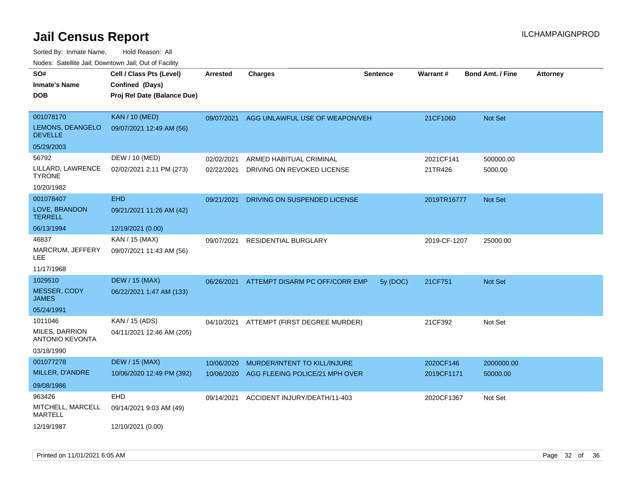| SO#                                      | Cell / Class Pts (Level)    | <b>Arrested</b> | <b>Charges</b>                           | <b>Sentence</b> | <b>Warrant#</b> | <b>Bond Amt. / Fine</b> | <b>Attorney</b> |
|------------------------------------------|-----------------------------|-----------------|------------------------------------------|-----------------|-----------------|-------------------------|-----------------|
| <b>Inmate's Name</b>                     | Confined (Days)             |                 |                                          |                 |                 |                         |                 |
| <b>DOB</b>                               | Proj Rel Date (Balance Due) |                 |                                          |                 |                 |                         |                 |
|                                          |                             |                 |                                          |                 |                 |                         |                 |
| 001078170                                | <b>KAN / 10 (MED)</b>       | 09/07/2021      | AGG UNLAWFUL USE OF WEAPON/VEH           |                 | 21CF1060        | Not Set                 |                 |
| LEMONS, DEANGELO<br><b>DEVELLE</b>       | 09/07/2021 12:49 AM (56)    |                 |                                          |                 |                 |                         |                 |
| 05/29/2003                               |                             |                 |                                          |                 |                 |                         |                 |
| 56792                                    | DEW / 10 (MED)              | 02/02/2021      | ARMED HABITUAL CRIMINAL                  |                 | 2021CF141       | 500000.00               |                 |
| LILLARD, LAWRENCE<br><b>TYRONE</b>       | 02/02/2021 2:11 PM (273)    | 02/22/2021      | DRIVING ON REVOKED LICENSE               |                 | 21TR426         | 5000.00                 |                 |
| 10/20/1982                               |                             |                 |                                          |                 |                 |                         |                 |
| 001078407                                | <b>EHD</b>                  | 09/21/2021      | DRIVING ON SUSPENDED LICENSE             |                 | 2019TR16777     | <b>Not Set</b>          |                 |
| LOVE, BRANDON<br><b>TERRELL</b>          | 09/21/2021 11:26 AM (42)    |                 |                                          |                 |                 |                         |                 |
| 06/13/1994                               | 12/19/2021 (0.00)           |                 |                                          |                 |                 |                         |                 |
| 46837                                    | KAN / 15 (MAX)              | 09/07/2021      | <b>RESIDENTIAL BURGLARY</b>              |                 | 2019-CF-1207    | 25000.00                |                 |
| MARCRUM, JEFFERY<br><b>LEE</b>           | 09/07/2021 11:43 AM (56)    |                 |                                          |                 |                 |                         |                 |
| 11/17/1968                               |                             |                 |                                          |                 |                 |                         |                 |
| 1029510                                  | <b>DEW / 15 (MAX)</b>       | 06/26/2021      | ATTEMPT DISARM PC OFF/CORR EMP           | 5y (DOC)        | 21CF751         | <b>Not Set</b>          |                 |
| MESSER, CODY<br><b>JAMES</b>             | 06/22/2021 1:47 AM (133)    |                 |                                          |                 |                 |                         |                 |
| 05/24/1991                               |                             |                 |                                          |                 |                 |                         |                 |
| 1011046                                  | KAN / 15 (ADS)              |                 | 04/10/2021 ATTEMPT (FIRST DEGREE MURDER) |                 | 21CF392         | Not Set                 |                 |
| MILES, DARRION<br><b>ANTONIO KEVONTA</b> | 04/11/2021 12:46 AM (205)   |                 |                                          |                 |                 |                         |                 |
| 03/18/1990                               |                             |                 |                                          |                 |                 |                         |                 |
| 001077278                                | <b>DEW / 15 (MAX)</b>       | 10/06/2020      | MURDER/INTENT TO KILL/INJURE             |                 | 2020CF146       | 2000000.00              |                 |
| MILLER, D'ANDRE                          | 10/06/2020 12:49 PM (392)   | 10/06/2020      | AGG FLEEING POLICE/21 MPH OVER           |                 | 2019CF1171      | 50000.00                |                 |
| 09/08/1986                               |                             |                 |                                          |                 |                 |                         |                 |
| 963426                                   | <b>EHD</b>                  | 09/14/2021      | ACCIDENT INJURY/DEATH/11-403             |                 | 2020CF1367      | Not Set                 |                 |
| MITCHELL, MARCELL<br><b>MARTELL</b>      | 09/14/2021 9:03 AM (49)     |                 |                                          |                 |                 |                         |                 |
| 12/19/1987                               | 12/10/2021 (0.00)           |                 |                                          |                 |                 |                         |                 |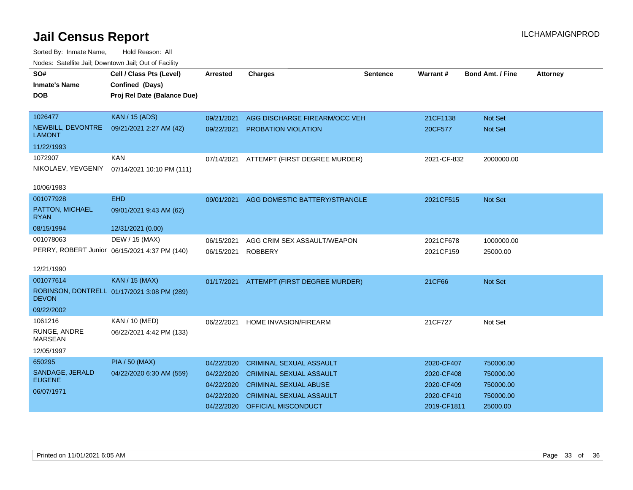| SO#<br><b>Inmate's Name</b><br><b>DOB</b> | Cell / Class Pts (Level)<br>Confined (Days)<br>Proj Rel Date (Balance Due) | <b>Arrested</b> | <b>Charges</b>                 | <b>Sentence</b> | Warrant#    | <b>Bond Amt. / Fine</b> | <b>Attorney</b> |
|-------------------------------------------|----------------------------------------------------------------------------|-----------------|--------------------------------|-----------------|-------------|-------------------------|-----------------|
|                                           |                                                                            |                 |                                |                 |             |                         |                 |
| 1026477                                   | <b>KAN / 15 (ADS)</b>                                                      | 09/21/2021      | AGG DISCHARGE FIREARM/OCC VEH  |                 | 21CF1138    | Not Set                 |                 |
| NEWBILL, DEVONTRE<br><b>LAMONT</b>        | 09/21/2021 2:27 AM (42)                                                    | 09/22/2021      | <b>PROBATION VIOLATION</b>     |                 | 20CF577     | Not Set                 |                 |
| 11/22/1993                                |                                                                            |                 |                                |                 |             |                         |                 |
| 1072907                                   | <b>KAN</b>                                                                 | 07/14/2021      | ATTEMPT (FIRST DEGREE MURDER)  |                 | 2021-CF-832 | 2000000.00              |                 |
| NIKOLAEV, YEVGENIY                        | 07/14/2021 10:10 PM (111)                                                  |                 |                                |                 |             |                         |                 |
| 10/06/1983                                |                                                                            |                 |                                |                 |             |                         |                 |
| 001077928                                 | <b>EHD</b>                                                                 | 09/01/2021      | AGG DOMESTIC BATTERY/STRANGLE  |                 | 2021CF515   | Not Set                 |                 |
| PATTON, MICHAEL<br><b>RYAN</b>            | 09/01/2021 9:43 AM (62)                                                    |                 |                                |                 |             |                         |                 |
| 08/15/1994                                | 12/31/2021 (0.00)                                                          |                 |                                |                 |             |                         |                 |
| 001078063                                 | DEW / 15 (MAX)                                                             | 06/15/2021      | AGG CRIM SEX ASSAULT/WEAPON    |                 | 2021CF678   | 1000000.00              |                 |
|                                           | PERRY, ROBERT Junior 06/15/2021 4:37 PM (140)                              | 06/15/2021      | <b>ROBBERY</b>                 |                 | 2021CF159   | 25000.00                |                 |
| 12/21/1990                                |                                                                            |                 |                                |                 |             |                         |                 |
| 001077614                                 | <b>KAN / 15 (MAX)</b>                                                      | 01/17/2021      | ATTEMPT (FIRST DEGREE MURDER)  |                 | 21CF66      | Not Set                 |                 |
| <b>DEVON</b>                              | ROBINSON, DONTRELL 01/17/2021 3:08 PM (289)                                |                 |                                |                 |             |                         |                 |
| 09/22/2002                                |                                                                            |                 |                                |                 |             |                         |                 |
| 1061216                                   | KAN / 10 (MED)                                                             | 06/22/2021      | HOME INVASION/FIREARM          |                 | 21CF727     | Not Set                 |                 |
| RUNGE, ANDRE<br><b>MARSEAN</b>            | 06/22/2021 4:42 PM (133)                                                   |                 |                                |                 |             |                         |                 |
| 12/05/1997                                |                                                                            |                 |                                |                 |             |                         |                 |
| 650295                                    | <b>PIA / 50 (MAX)</b>                                                      | 04/22/2020      | <b>CRIMINAL SEXUAL ASSAULT</b> |                 | 2020-CF407  | 750000.00               |                 |
| SANDAGE, JERALD                           | 04/22/2020 6:30 AM (559)                                                   | 04/22/2020      | <b>CRIMINAL SEXUAL ASSAULT</b> |                 | 2020-CF408  | 750000.00               |                 |
| <b>EUGENE</b>                             |                                                                            | 04/22/2020      | <b>CRIMINAL SEXUAL ABUSE</b>   |                 | 2020-CF409  | 750000.00               |                 |
| 06/07/1971                                |                                                                            | 04/22/2020      | <b>CRIMINAL SEXUAL ASSAULT</b> |                 | 2020-CF410  | 750000.00               |                 |
|                                           |                                                                            | 04/22/2020      | OFFICIAL MISCONDUCT            |                 | 2019-CF1811 | 25000.00                |                 |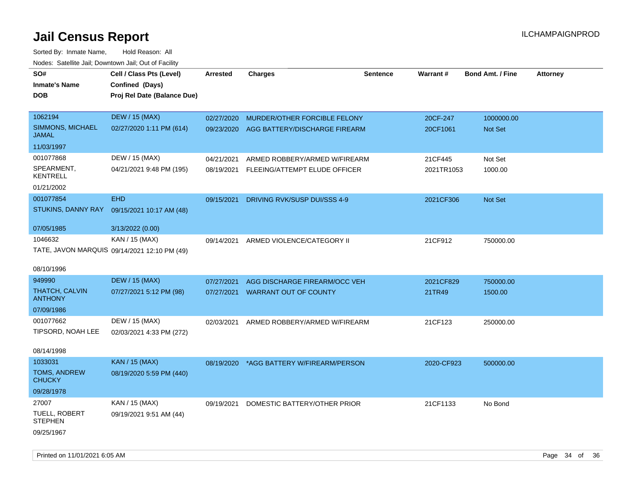| SO#                                     | Cell / Class Pts (Level)                     | Arrested   | <b>Charges</b>                           | <b>Sentence</b> | Warrant#   | <b>Bond Amt. / Fine</b> | <b>Attorney</b> |
|-----------------------------------------|----------------------------------------------|------------|------------------------------------------|-----------------|------------|-------------------------|-----------------|
| <b>Inmate's Name</b>                    | Confined (Days)                              |            |                                          |                 |            |                         |                 |
| DOB                                     |                                              |            |                                          |                 |            |                         |                 |
|                                         | Proj Rel Date (Balance Due)                  |            |                                          |                 |            |                         |                 |
| 1062194                                 | <b>DEW / 15 (MAX)</b>                        | 02/27/2020 | MURDER/OTHER FORCIBLE FELONY             |                 | 20CF-247   | 1000000.00              |                 |
| SIMMONS, MICHAEL                        | 02/27/2020 1:11 PM (614)                     | 09/23/2020 | AGG BATTERY/DISCHARGE FIREARM            |                 | 20CF1061   | Not Set                 |                 |
| <b>JAMAL</b>                            |                                              |            |                                          |                 |            |                         |                 |
| 11/03/1997                              |                                              |            |                                          |                 |            |                         |                 |
| 001077868                               | DEW / 15 (MAX)                               | 04/21/2021 | ARMED ROBBERY/ARMED W/FIREARM            |                 | 21CF445    | Not Set                 |                 |
| SPEARMENT,<br><b>KENTRELL</b>           | 04/21/2021 9:48 PM (195)                     |            | 08/19/2021 FLEEING/ATTEMPT ELUDE OFFICER |                 | 2021TR1053 | 1000.00                 |                 |
| 01/21/2002                              |                                              |            |                                          |                 |            |                         |                 |
| 001077854                               | <b>EHD</b>                                   | 09/15/2021 | DRIVING RVK/SUSP DUI/SSS 4-9             |                 | 2021CF306  | Not Set                 |                 |
| STUKINS, DANNY RAY                      | 09/15/2021 10:17 AM (48)                     |            |                                          |                 |            |                         |                 |
|                                         |                                              |            |                                          |                 |            |                         |                 |
| 07/05/1985                              | 3/13/2022 (0.00)                             |            |                                          |                 |            |                         |                 |
| 1046632                                 | KAN / 15 (MAX)                               | 09/14/2021 | ARMED VIOLENCE/CATEGORY II               |                 | 21CF912    | 750000.00               |                 |
|                                         | TATE, JAVON MARQUIS 09/14/2021 12:10 PM (49) |            |                                          |                 |            |                         |                 |
| 08/10/1996                              |                                              |            |                                          |                 |            |                         |                 |
| 949990                                  | <b>DEW / 15 (MAX)</b>                        | 07/27/2021 | AGG DISCHARGE FIREARM/OCC VEH            |                 | 2021CF829  | 750000.00               |                 |
| <b>THATCH, CALVIN</b><br><b>ANTHONY</b> | 07/27/2021 5:12 PM (98)                      | 07/27/2021 | <b>WARRANT OUT OF COUNTY</b>             |                 | 21TR49     | 1500.00                 |                 |
| 07/09/1986                              |                                              |            |                                          |                 |            |                         |                 |
| 001077662                               | DEW / 15 (MAX)                               | 02/03/2021 | ARMED ROBBERY/ARMED W/FIREARM            |                 | 21CF123    | 250000.00               |                 |
| TIPSORD, NOAH LEE                       | 02/03/2021 4:33 PM (272)                     |            |                                          |                 |            |                         |                 |
|                                         |                                              |            |                                          |                 |            |                         |                 |
| 08/14/1998                              |                                              |            |                                          |                 |            |                         |                 |
| 1033031                                 | <b>KAN / 15 (MAX)</b>                        | 08/19/2020 | *AGG BATTERY W/FIREARM/PERSON            |                 | 2020-CF923 | 500000.00               |                 |
| TOMS, ANDREW<br><b>CHUCKY</b>           | 08/19/2020 5:59 PM (440)                     |            |                                          |                 |            |                         |                 |
| 09/28/1978                              |                                              |            |                                          |                 |            |                         |                 |
| 27007                                   | KAN / 15 (MAX)                               | 09/19/2021 | DOMESTIC BATTERY/OTHER PRIOR             |                 | 21CF1133   | No Bond                 |                 |
| <b>TUELL, ROBERT</b><br><b>STEPHEN</b>  | 09/19/2021 9:51 AM (44)                      |            |                                          |                 |            |                         |                 |
| 09/25/1967                              |                                              |            |                                          |                 |            |                         |                 |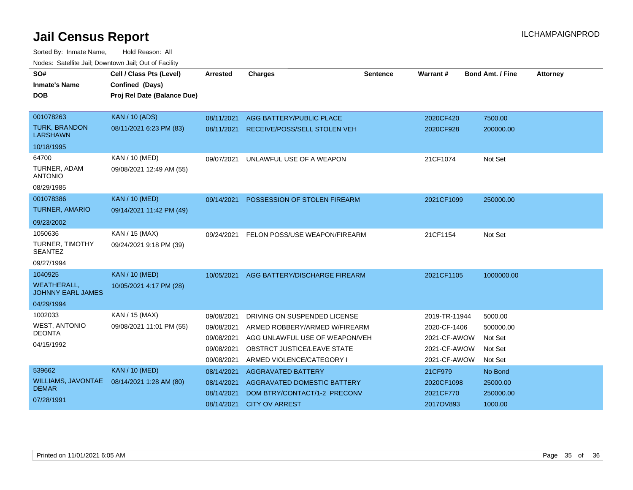| SO#<br><b>Inmate's Name</b><br><b>DOB</b>      | Cell / Class Pts (Level)<br>Confined (Days)<br>Proj Rel Date (Balance Due) | <b>Arrested</b> | <b>Charges</b>                 | <b>Sentence</b> | Warrant#      | <b>Bond Amt. / Fine</b> | <b>Attorney</b> |
|------------------------------------------------|----------------------------------------------------------------------------|-----------------|--------------------------------|-----------------|---------------|-------------------------|-----------------|
| 001078263                                      | <b>KAN / 10 (ADS)</b>                                                      | 08/11/2021      | AGG BATTERY/PUBLIC PLACE       |                 | 2020CF420     | 7500.00                 |                 |
| <b>TURK, BRANDON</b><br><b>LARSHAWN</b>        | 08/11/2021 6:23 PM (83)                                                    | 08/11/2021      | RECEIVE/POSS/SELL STOLEN VEH   |                 | 2020CF928     | 200000.00               |                 |
| 10/18/1995                                     |                                                                            |                 |                                |                 |               |                         |                 |
| 64700                                          | KAN / 10 (MED)                                                             | 09/07/2021      | UNLAWFUL USE OF A WEAPON       |                 | 21CF1074      | Not Set                 |                 |
| TURNER, ADAM<br><b>ANTONIO</b>                 | 09/08/2021 12:49 AM (55)                                                   |                 |                                |                 |               |                         |                 |
| 08/29/1985                                     |                                                                            |                 |                                |                 |               |                         |                 |
| 001078386                                      | <b>KAN / 10 (MED)</b>                                                      | 09/14/2021      | POSSESSION OF STOLEN FIREARM   |                 | 2021CF1099    | 250000.00               |                 |
| <b>TURNER, AMARIO</b>                          | 09/14/2021 11:42 PM (49)                                                   |                 |                                |                 |               |                         |                 |
| 09/23/2002                                     |                                                                            |                 |                                |                 |               |                         |                 |
| 1050636                                        | KAN / 15 (MAX)                                                             | 09/24/2021      | FELON POSS/USE WEAPON/FIREARM  |                 | 21CF1154      | Not Set                 |                 |
| <b>TURNER, TIMOTHY</b><br><b>SEANTEZ</b>       | 09/24/2021 9:18 PM (39)                                                    |                 |                                |                 |               |                         |                 |
| 09/27/1994                                     |                                                                            |                 |                                |                 |               |                         |                 |
| 1040925                                        | <b>KAN / 10 (MED)</b>                                                      | 10/05/2021      | AGG BATTERY/DISCHARGE FIREARM  |                 | 2021CF1105    | 1000000.00              |                 |
| <b>WEATHERALL,</b><br><b>JOHNNY EARL JAMES</b> | 10/05/2021 4:17 PM (28)                                                    |                 |                                |                 |               |                         |                 |
| 04/29/1994                                     |                                                                            |                 |                                |                 |               |                         |                 |
| 1002033                                        | KAN / 15 (MAX)                                                             | 09/08/2021      | DRIVING ON SUSPENDED LICENSE   |                 | 2019-TR-11944 | 5000.00                 |                 |
| <b>WEST, ANTONIO</b>                           | 09/08/2021 11:01 PM (55)                                                   | 09/08/2021      | ARMED ROBBERY/ARMED W/FIREARM  |                 | 2020-CF-1406  | 500000.00               |                 |
| <b>DEONTA</b>                                  |                                                                            | 09/08/2021      | AGG UNLAWFUL USE OF WEAPON/VEH |                 | 2021-CF-AWOW  | Not Set                 |                 |
| 04/15/1992                                     |                                                                            | 09/08/2021      | OBSTRCT JUSTICE/LEAVE STATE    |                 | 2021-CF-AWOW  | Not Set                 |                 |
|                                                |                                                                            | 09/08/2021      | ARMED VIOLENCE/CATEGORY I      |                 | 2021-CF-AWOW  | Not Set                 |                 |
| 539662                                         | <b>KAN / 10 (MED)</b>                                                      | 08/14/2021      | AGGRAVATED BATTERY             |                 | 21CF979       | No Bond                 |                 |
| WILLIAMS, JAVONTAE                             | 08/14/2021 1:28 AM (80)                                                    | 08/14/2021      | AGGRAVATED DOMESTIC BATTERY    |                 | 2020CF1098    | 25000.00                |                 |
| <b>DEMAR</b>                                   |                                                                            | 08/14/2021      | DOM BTRY/CONTACT/1-2 PRECONV   |                 | 2021CF770     | 250000.00               |                 |
| 07/28/1991                                     |                                                                            | 08/14/2021      | <b>CITY OV ARREST</b>          |                 | 2017OV893     | 1000.00                 |                 |